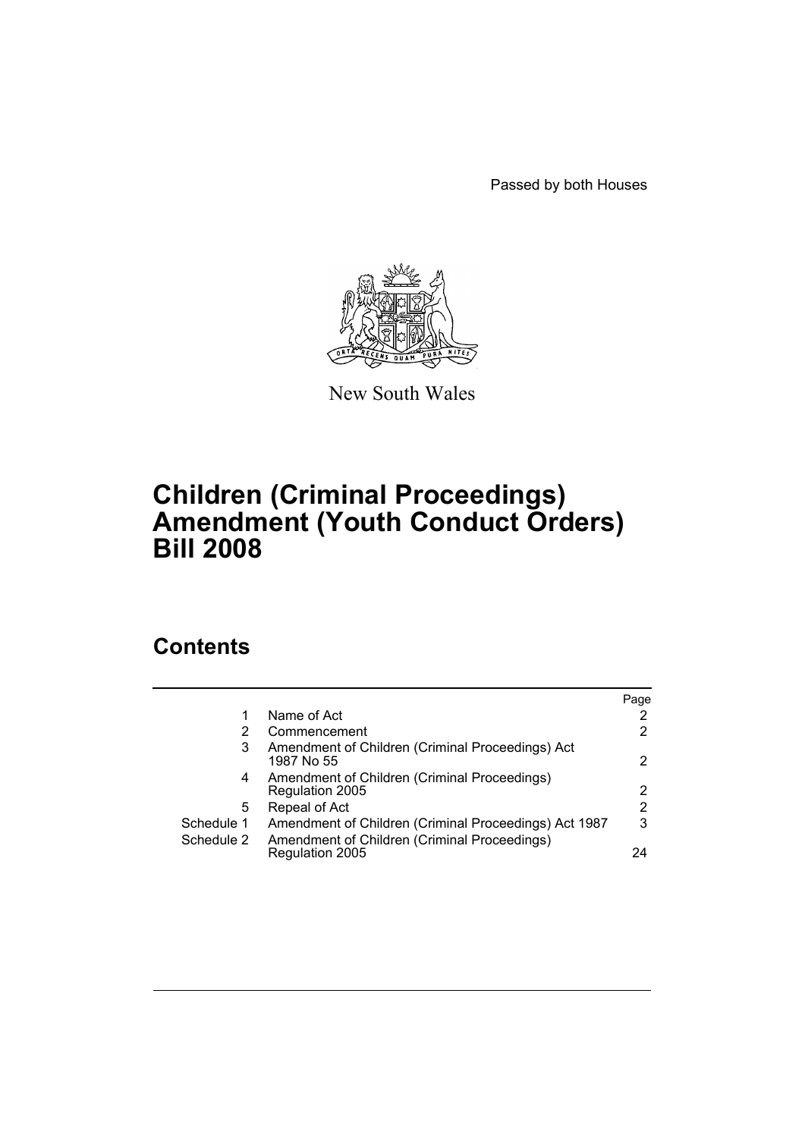Passed by both Houses



New South Wales

# **Children (Criminal Proceedings) Amendment (Youth Conduct Orders) Bill 2008**

# **Contents**

|            |                                                                 | Page |
|------------|-----------------------------------------------------------------|------|
|            | Name of Act                                                     |      |
| 2          | Commencement                                                    | 2    |
| 3          | Amendment of Children (Criminal Proceedings) Act<br>1987 No 55  | 2    |
| 4          | Amendment of Children (Criminal Proceedings)<br>Regulation 2005 | 2    |
| 5          | Repeal of Act                                                   | 2    |
| Schedule 1 | Amendment of Children (Criminal Proceedings) Act 1987           | 3    |
| Schedule 2 | Amendment of Children (Criminal Proceedings)<br>Regulation 2005 | 24   |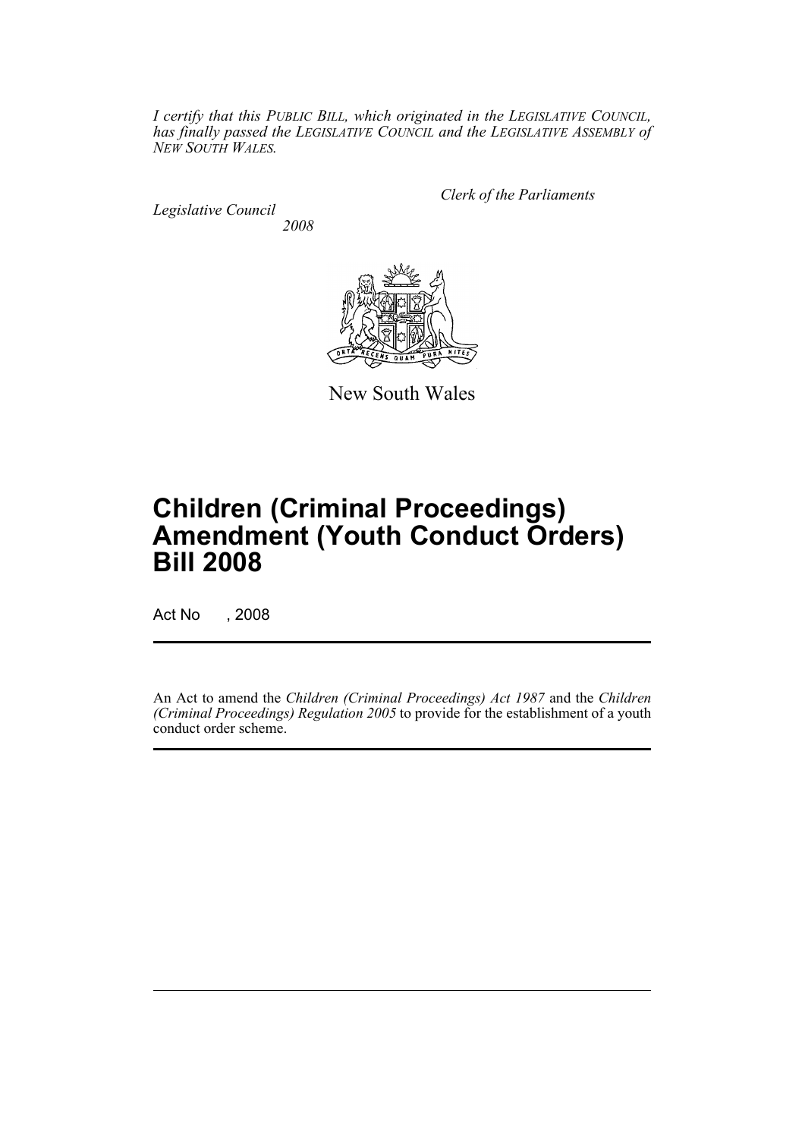*I certify that this PUBLIC BILL, which originated in the LEGISLATIVE COUNCIL, has finally passed the LEGISLATIVE COUNCIL and the LEGISLATIVE ASSEMBLY of NEW SOUTH WALES.*

*Legislative Council 2008* *Clerk of the Parliaments*



New South Wales

# **Children (Criminal Proceedings) Amendment (Youth Conduct Orders) Bill 2008**

Act No , 2008

An Act to amend the *Children (Criminal Proceedings) Act 1987* and the *Children (Criminal Proceedings) Regulation 2005* to provide for the establishment of a youth conduct order scheme.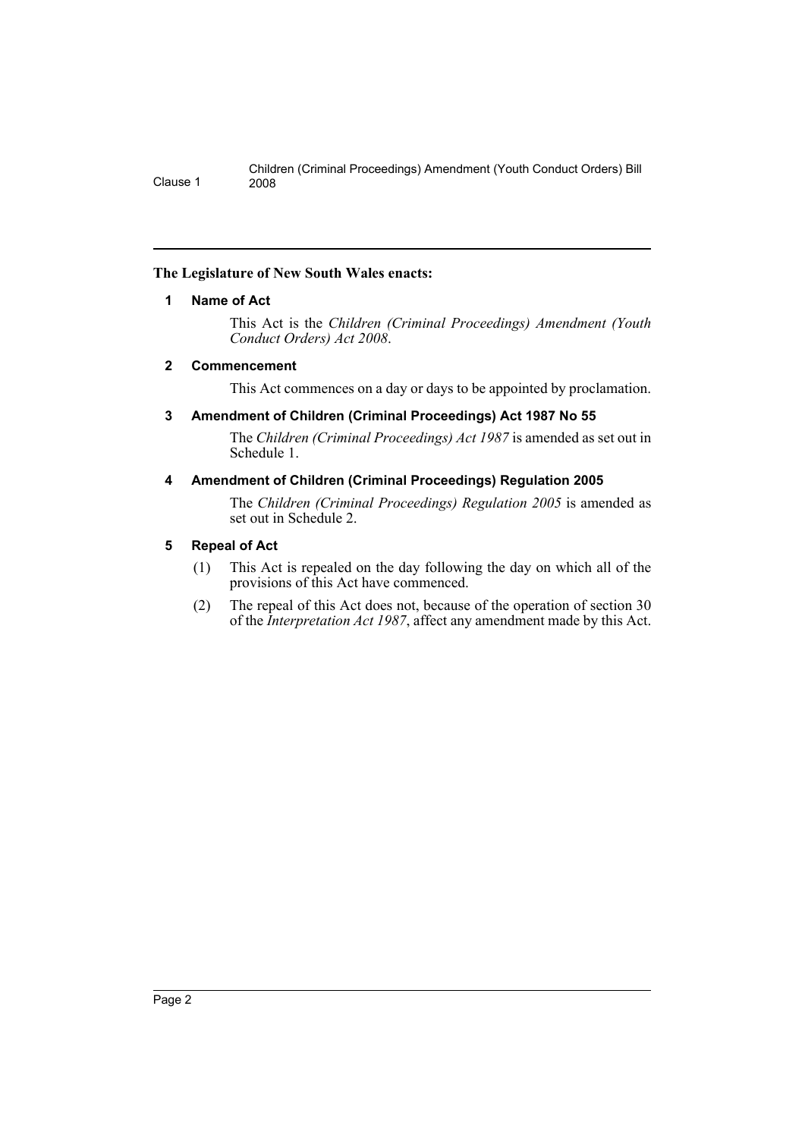# <span id="page-2-0"></span>**The Legislature of New South Wales enacts:**

# **1 Name of Act**

This Act is the *Children (Criminal Proceedings) Amendment (Youth Conduct Orders) Act 2008*.

# <span id="page-2-1"></span>**2 Commencement**

This Act commences on a day or days to be appointed by proclamation.

# <span id="page-2-2"></span>**3 Amendment of Children (Criminal Proceedings) Act 1987 No 55**

The *Children (Criminal Proceedings) Act 1987* is amended as set out in Schedule 1.

# <span id="page-2-3"></span>**4 Amendment of Children (Criminal Proceedings) Regulation 2005**

The *Children (Criminal Proceedings) Regulation 2005* is amended as set out in Schedule 2.

# <span id="page-2-4"></span>**5 Repeal of Act**

- (1) This Act is repealed on the day following the day on which all of the provisions of this Act have commenced.
- (2) The repeal of this Act does not, because of the operation of section 30 of the *Interpretation Act 1987*, affect any amendment made by this Act.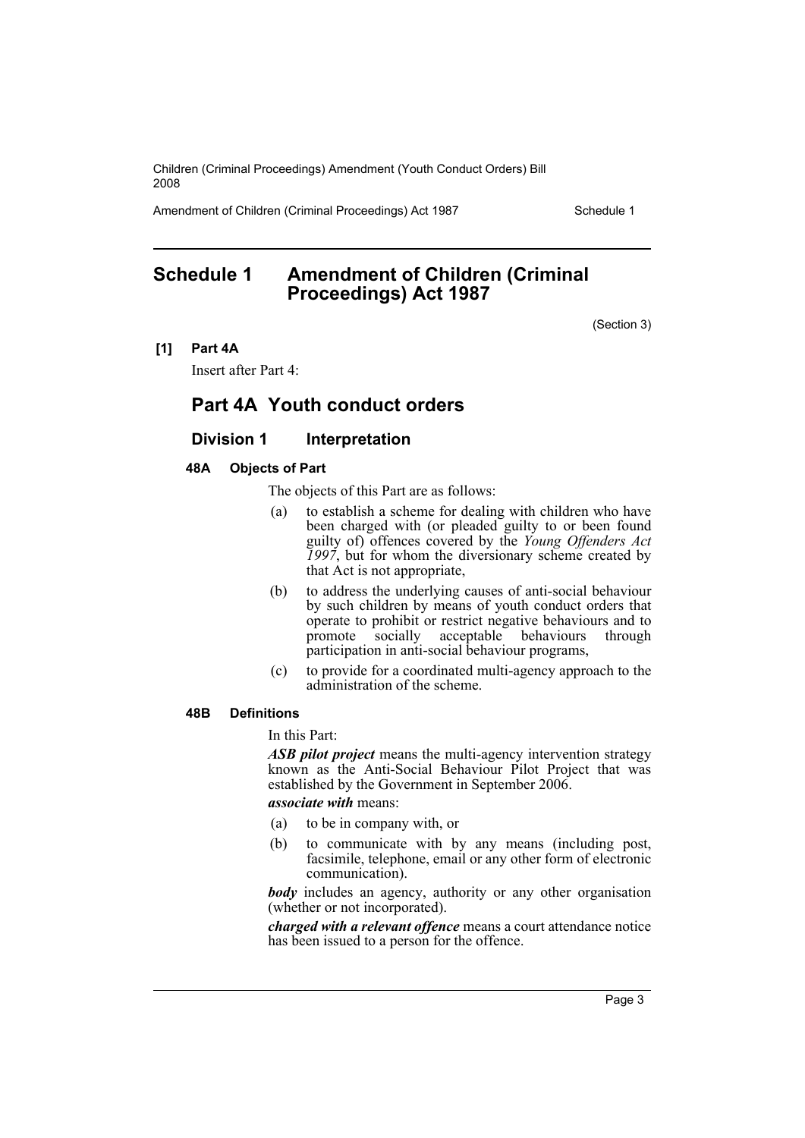Amendment of Children (Criminal Proceedings) Act 1987 Schedule 1

# <span id="page-3-0"></span>**Schedule 1 Amendment of Children (Criminal Proceedings) Act 1987**

(Section 3)

**[1] Part 4A**

Insert after Part 4:

# **Part 4A Youth conduct orders**

# **Division 1** Interpretation

## **48A Objects of Part**

The objects of this Part are as follows:

- (a) to establish a scheme for dealing with children who have been charged with (or pleaded guilty to or been found guilty of) offences covered by the *Young Offenders Act 1997*, but for whom the diversionary scheme created by that Act is not appropriate,
- (b) to address the underlying causes of anti-social behaviour by such children by means of youth conduct orders that operate to prohibit or restrict negative behaviours and to promote socially acceptable behaviours through participation in anti-social behaviour programs,
- (c) to provide for a coordinated multi-agency approach to the administration of the scheme.

#### **48B Definitions**

In this Part:

*ASB pilot project* means the multi-agency intervention strategy known as the Anti-Social Behaviour Pilot Project that was established by the Government in September 2006.

*associate with* means:

- (a) to be in company with, or
- (b) to communicate with by any means (including post, facsimile, telephone, email or any other form of electronic communication).

*body* includes an agency, authority or any other organisation (whether or not incorporated).

*charged with a relevant offence* means a court attendance notice has been issued to a person for the offence.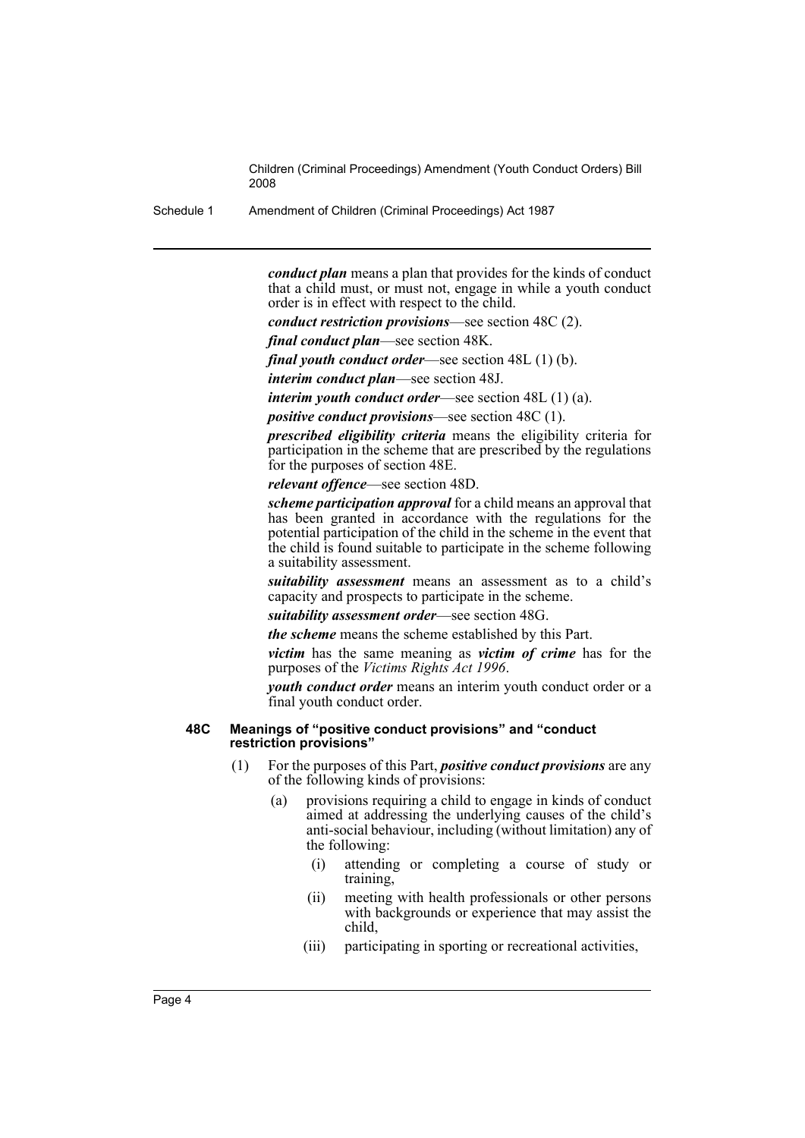Schedule 1 Amendment of Children (Criminal Proceedings) Act 1987

*conduct plan* means a plan that provides for the kinds of conduct that a child must, or must not, engage in while a youth conduct order is in effect with respect to the child.

*conduct restriction provisions*—see section 48C (2).

*final conduct plan*—see section 48K.

*final youth conduct order*—see section 48L (1) (b).

*interim conduct plan*—see section 48J.

*interim youth conduct order*—see section 48L (1) (a).

*positive conduct provisions*—see section 48C (1).

*prescribed eligibility criteria* means the eligibility criteria for participation in the scheme that are prescribed by the regulations for the purposes of section 48E.

*relevant offence*—see section 48D.

*scheme participation approval* for a child means an approval that has been granted in accordance with the regulations for the potential participation of the child in the scheme in the event that the child is found suitable to participate in the scheme following a suitability assessment.

*suitability assessment* means an assessment as to a child's capacity and prospects to participate in the scheme.

*suitability assessment order*—see section 48G.

*the scheme* means the scheme established by this Part.

*victim* has the same meaning as *victim of crime* has for the purposes of the *Victims Rights Act 1996*.

*youth conduct order* means an interim youth conduct order or a final youth conduct order.

#### **48C Meanings of "positive conduct provisions" and "conduct restriction provisions"**

- (1) For the purposes of this Part, *positive conduct provisions* are any of the following kinds of provisions:
	- (a) provisions requiring a child to engage in kinds of conduct aimed at addressing the underlying causes of the child's anti-social behaviour, including (without limitation) any of the following:
		- (i) attending or completing a course of study or training,
		- (ii) meeting with health professionals or other persons with backgrounds or experience that may assist the child,
		- (iii) participating in sporting or recreational activities,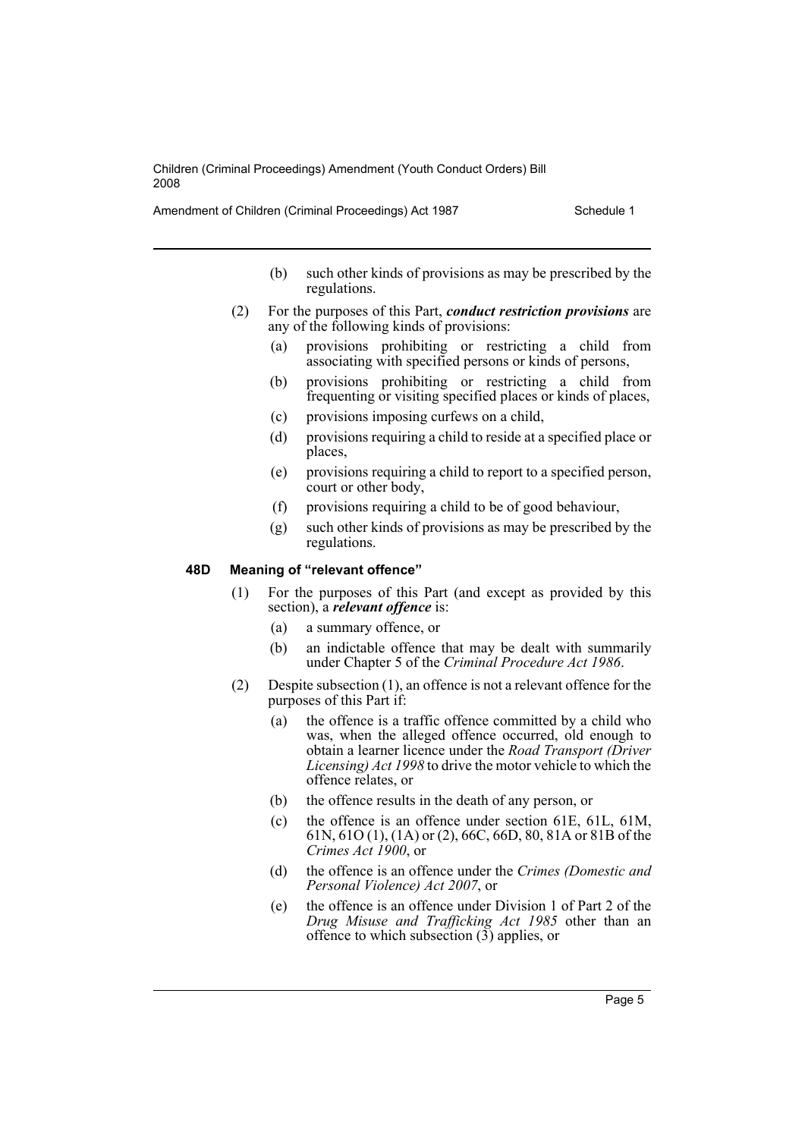Amendment of Children (Criminal Proceedings) Act 1987 Schedule 1

- (b) such other kinds of provisions as may be prescribed by the regulations.
- (2) For the purposes of this Part, *conduct restriction provisions* are any of the following kinds of provisions:
	- (a) provisions prohibiting or restricting a child from associating with specified persons or kinds of persons,
	- (b) provisions prohibiting or restricting a child from frequenting or visiting specified places or kinds of places,
	- (c) provisions imposing curfews on a child,
	- (d) provisions requiring a child to reside at a specified place or places,
	- (e) provisions requiring a child to report to a specified person, court or other body,
	- (f) provisions requiring a child to be of good behaviour,
	- (g) such other kinds of provisions as may be prescribed by the regulations.

#### **48D Meaning of "relevant offence"**

- (1) For the purposes of this Part (and except as provided by this section), a *relevant offence* is:
	- (a) a summary offence, or
	- (b) an indictable offence that may be dealt with summarily under Chapter 5 of the *Criminal Procedure Act 1986*.
- (2) Despite subsection (1), an offence is not a relevant offence for the purposes of this Part if:
	- (a) the offence is a traffic offence committed by a child who was, when the alleged offence occurred, old enough to obtain a learner licence under the *Road Transport (Driver Licensing) Act 1998* to drive the motor vehicle to which the offence relates, or
	- (b) the offence results in the death of any person, or
	- (c) the offence is an offence under section 61E, 61L, 61M, 61N, 61O (1), (1A) or (2), 66C, 66D, 80, 81A or 81B of the *Crimes Act 1900*, or
	- (d) the offence is an offence under the *Crimes (Domestic and Personal Violence) Act 2007*, or
	- (e) the offence is an offence under Division 1 of Part 2 of the *Drug Misuse and Trafficking Act 1985* other than an offence to which subsection (3) applies, or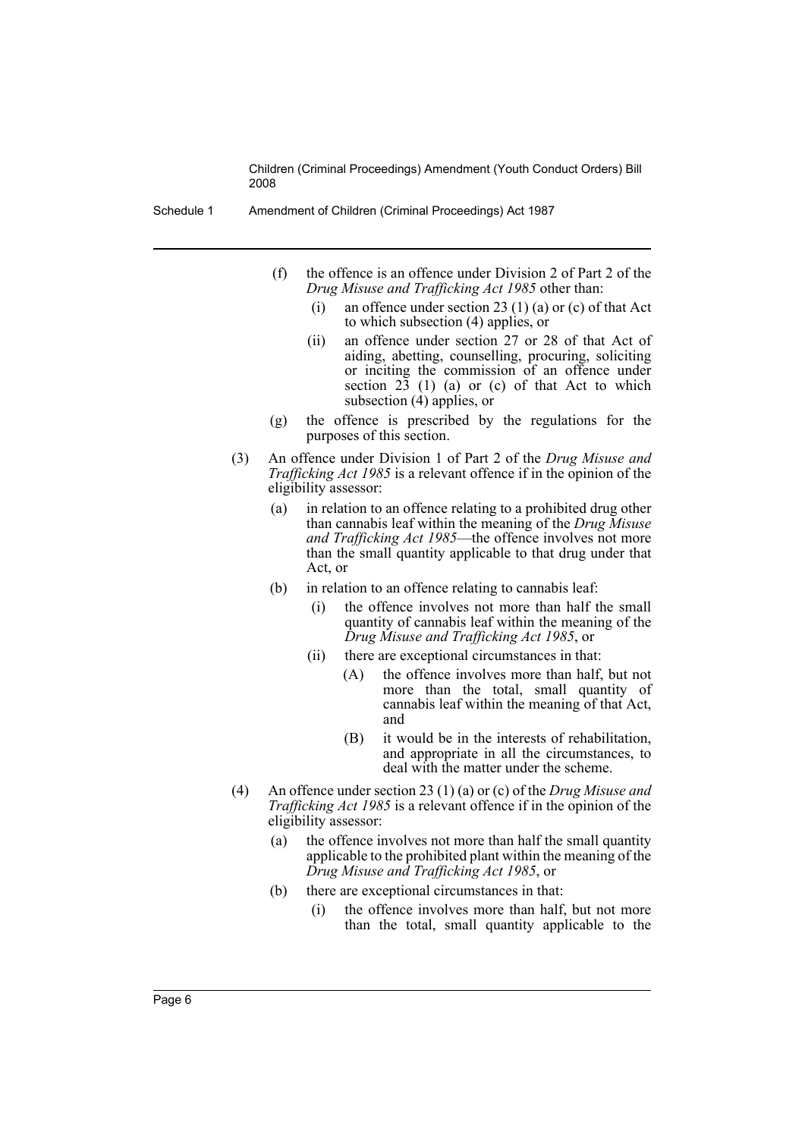- Schedule 1 Amendment of Children (Criminal Proceedings) Act 1987
	- (f) the offence is an offence under Division 2 of Part 2 of the *Drug Misuse and Trafficking Act 1985* other than:
		- (i) an offence under section 23 (1) (a) or (c) of that Act to which subsection (4) applies, or
		- (ii) an offence under section 27 or 28 of that Act of aiding, abetting, counselling, procuring, soliciting or inciting the commission of an offence under section  $23$  (1) (a) or (c) of that Act to which subsection (4) applies, or
	- (g) the offence is prescribed by the regulations for the purposes of this section.
	- (3) An offence under Division 1 of Part 2 of the *Drug Misuse and Trafficking Act 1985* is a relevant offence if in the opinion of the eligibility assessor:
		- (a) in relation to an offence relating to a prohibited drug other than cannabis leaf within the meaning of the *Drug Misuse and Trafficking Act 1985*—the offence involves not more than the small quantity applicable to that drug under that Act, or
		- (b) in relation to an offence relating to cannabis leaf:
			- (i) the offence involves not more than half the small quantity of cannabis leaf within the meaning of the *Drug Misuse and Trafficking Act 1985*, or
			- (ii) there are exceptional circumstances in that:
				- (A) the offence involves more than half, but not more than the total, small quantity of cannabis leaf within the meaning of that Act, and
				- (B) it would be in the interests of rehabilitation, and appropriate in all the circumstances, to deal with the matter under the scheme.
	- (4) An offence under section 23 (1) (a) or (c) of the *Drug Misuse and Trafficking Act 1985* is a relevant offence if in the opinion of the eligibility assessor:
		- (a) the offence involves not more than half the small quantity applicable to the prohibited plant within the meaning of the *Drug Misuse and Trafficking Act 1985*, or
		- (b) there are exceptional circumstances in that:
			- (i) the offence involves more than half, but not more than the total, small quantity applicable to the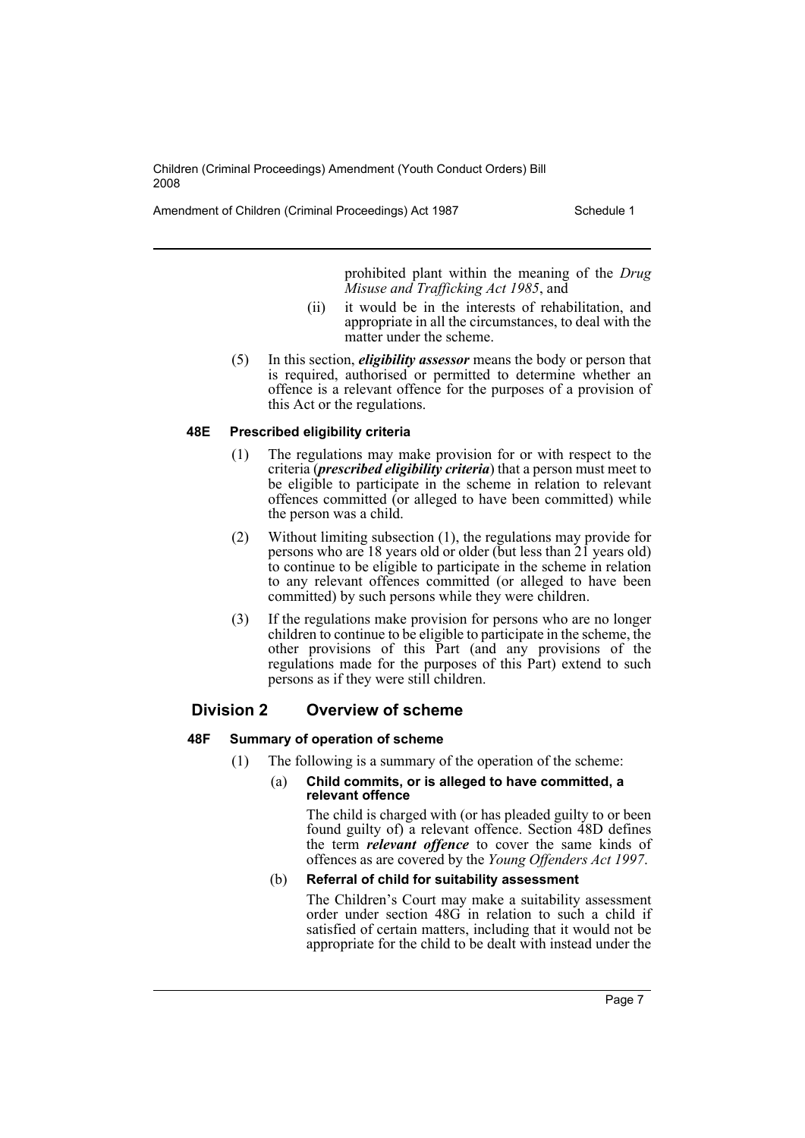Amendment of Children (Criminal Proceedings) Act 1987 Schedule 1

prohibited plant within the meaning of the *Drug Misuse and Trafficking Act 1985*, and

- (ii) it would be in the interests of rehabilitation, and appropriate in all the circumstances, to deal with the matter under the scheme.
- (5) In this section, *eligibility assessor* means the body or person that is required, authorised or permitted to determine whether an offence is a relevant offence for the purposes of a provision of this Act or the regulations.

# **48E Prescribed eligibility criteria**

- (1) The regulations may make provision for or with respect to the criteria (*prescribed eligibility criteria*) that a person must meet to be eligible to participate in the scheme in relation to relevant offences committed (or alleged to have been committed) while the person was a child.
- (2) Without limiting subsection (1), the regulations may provide for persons who are 18 years old or older (but less than 21 years old) to continue to be eligible to participate in the scheme in relation to any relevant offences committed (or alleged to have been committed) by such persons while they were children.
- (3) If the regulations make provision for persons who are no longer children to continue to be eligible to participate in the scheme, the other provisions of this Part (and any provisions of the regulations made for the purposes of this Part) extend to such persons as if they were still children.

# **Division 2 Overview of scheme**

# **48F Summary of operation of scheme**

(1) The following is a summary of the operation of the scheme:

## (a) **Child commits, or is alleged to have committed, a relevant offence**

The child is charged with (or has pleaded guilty to or been found guilty of) a relevant offence. Section 48D defines the term *relevant offence* to cover the same kinds of offences as are covered by the *Young Offenders Act 1997*.

# (b) **Referral of child for suitability assessment**

The Children's Court may make a suitability assessment order under section 48G in relation to such a child if satisfied of certain matters, including that it would not be appropriate for the child to be dealt with instead under the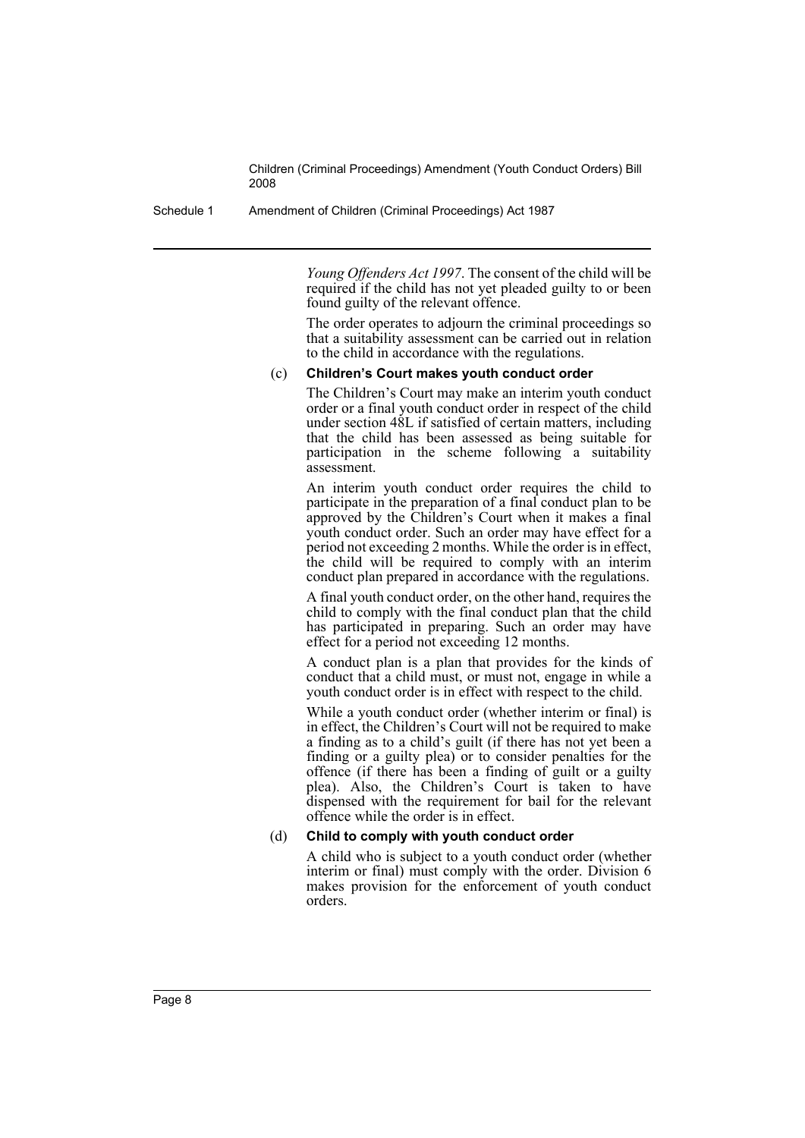Schedule 1 Amendment of Children (Criminal Proceedings) Act 1987

*Young Offenders Act 1997*. The consent of the child will be required if the child has not yet pleaded guilty to or been found guilty of the relevant offence.

The order operates to adjourn the criminal proceedings so that a suitability assessment can be carried out in relation to the child in accordance with the regulations.

#### (c) **Children's Court makes youth conduct order**

The Children's Court may make an interim youth conduct order or a final youth conduct order in respect of the child under section 48L if satisfied of certain matters, including that the child has been assessed as being suitable for participation in the scheme following  $\alpha$  suitability assessment.

An interim youth conduct order requires the child to participate in the preparation of a final conduct plan to be approved by the Children's Court when it makes a final youth conduct order. Such an order may have effect for a period not exceeding 2 months. While the order is in effect, the child will be required to comply with an interim conduct plan prepared in accordance with the regulations.

A final youth conduct order, on the other hand, requires the child to comply with the final conduct plan that the child has participated in preparing. Such an order may have effect for a period not exceeding 12 months.

A conduct plan is a plan that provides for the kinds of conduct that a child must, or must not, engage in while a youth conduct order is in effect with respect to the child.

While a youth conduct order (whether interim or final) is in effect, the Children's Court will not be required to make a finding as to a child's guilt (if there has not yet been a finding or a guilty plea) or to consider penalties for the offence (if there has been a finding of guilt or a guilty plea). Also, the Children's Court is taken to have dispensed with the requirement for bail for the relevant offence while the order is in effect.

#### (d) **Child to comply with youth conduct order**

A child who is subject to a youth conduct order (whether interim or final) must comply with the order. Division 6 makes provision for the enforcement of youth conduct orders.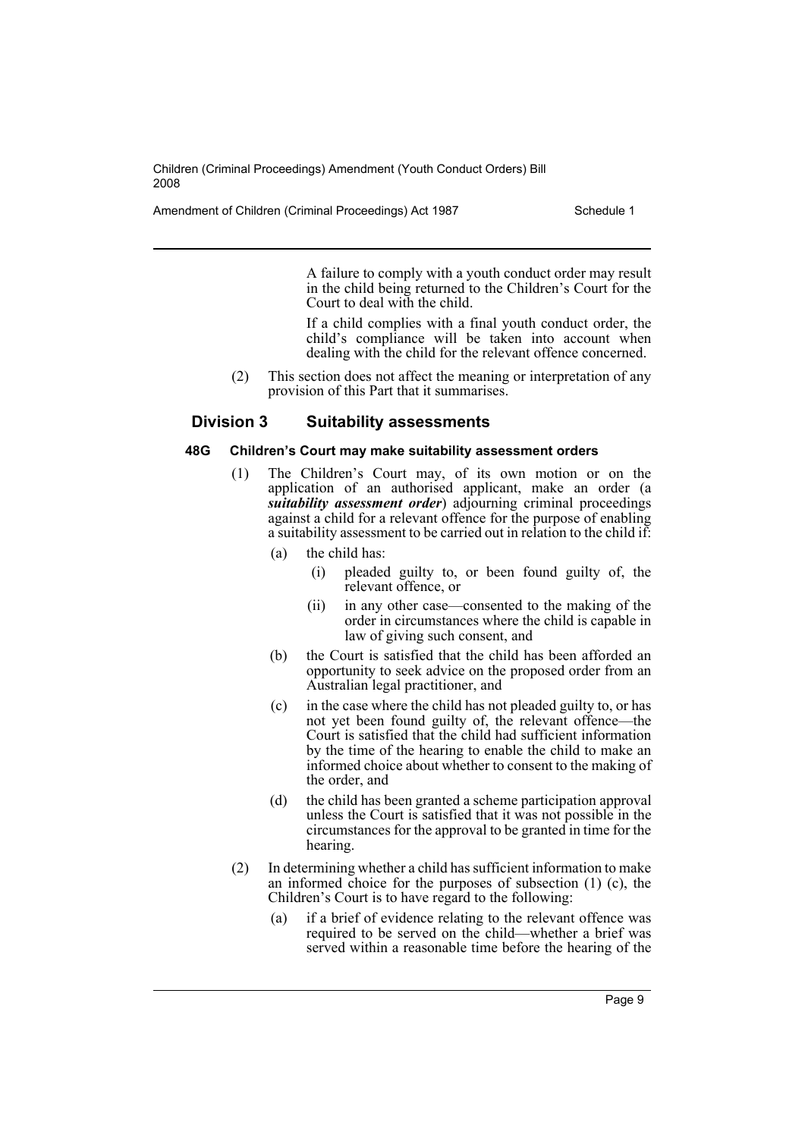Amendment of Children (Criminal Proceedings) Act 1987 Schedule 1

A failure to comply with a youth conduct order may result in the child being returned to the Children's Court for the Court to deal with the child.

If a child complies with a final youth conduct order, the child's compliance will be taken into account when dealing with the child for the relevant offence concerned.

(2) This section does not affect the meaning or interpretation of any provision of this Part that it summarises.

# **Division 3 Suitability assessments**

#### **48G Children's Court may make suitability assessment orders**

- The Children's Court may, of its own motion or on the application of an authorised applicant, make an order (a *suitability assessment order*) adjourning criminal proceedings against a child for a relevant offence for the purpose of enabling a suitability assessment to be carried out in relation to the child if:
	- (a) the child has:
		- (i) pleaded guilty to, or been found guilty of, the relevant offence, or
		- (ii) in any other case—consented to the making of the order in circumstances where the child is capable in law of giving such consent, and
	- (b) the Court is satisfied that the child has been afforded an opportunity to seek advice on the proposed order from an Australian legal practitioner, and
	- (c) in the case where the child has not pleaded guilty to, or has not yet been found guilty of, the relevant offence—the Court is satisfied that the child had sufficient information by the time of the hearing to enable the child to make an informed choice about whether to consent to the making of the order, and
	- (d) the child has been granted a scheme participation approval unless the Court is satisfied that it was not possible in the circumstances for the approval to be granted in time for the hearing.
- (2) In determining whether a child has sufficient information to make an informed choice for the purposes of subsection (1) (c), the Children's Court is to have regard to the following:
	- (a) if a brief of evidence relating to the relevant offence was required to be served on the child—whether a brief was served within a reasonable time before the hearing of the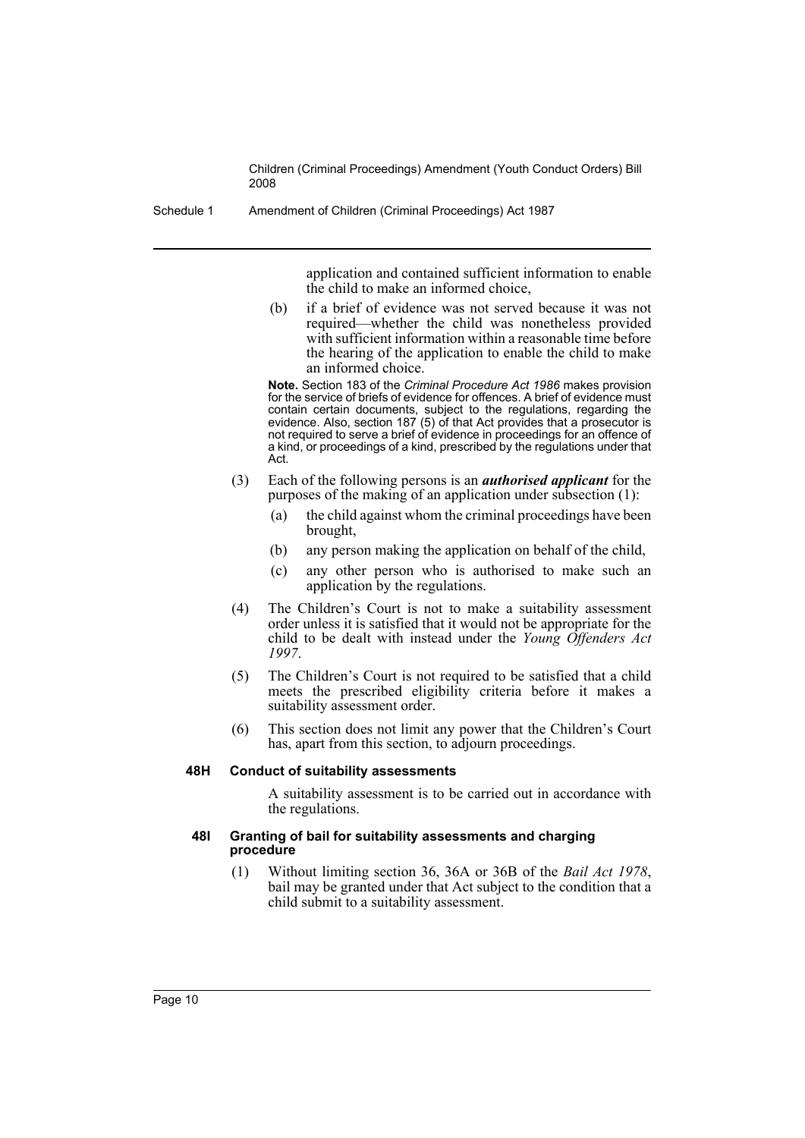Schedule 1 Amendment of Children (Criminal Proceedings) Act 1987

application and contained sufficient information to enable the child to make an informed choice,

(b) if a brief of evidence was not served because it was not required—whether the child was nonetheless provided with sufficient information within a reasonable time before the hearing of the application to enable the child to make an informed choice.

**Note.** Section 183 of the *Criminal Procedure Act 1986* makes provision for the service of briefs of evidence for offences. A brief of evidence must contain certain documents, subject to the regulations, regarding the evidence. Also, section 187 (5) of that Act provides that a prosecutor is not required to serve a brief of evidence in proceedings for an offence of a kind, or proceedings of a kind, prescribed by the regulations under that Act.

- (3) Each of the following persons is an *authorised applicant* for the purposes of the making of an application under subsection (1):
	- (a) the child against whom the criminal proceedings have been brought,
	- (b) any person making the application on behalf of the child,
	- (c) any other person who is authorised to make such an application by the regulations.
- (4) The Children's Court is not to make a suitability assessment order unless it is satisfied that it would not be appropriate for the child to be dealt with instead under the *Young Offenders Act 1997*.
- (5) The Children's Court is not required to be satisfied that a child meets the prescribed eligibility criteria before it makes a suitability assessment order.
- (6) This section does not limit any power that the Children's Court has, apart from this section, to adjourn proceedings.

#### **48H Conduct of suitability assessments**

A suitability assessment is to be carried out in accordance with the regulations.

#### **48I Granting of bail for suitability assessments and charging procedure**

(1) Without limiting section 36, 36A or 36B of the *Bail Act 1978*, bail may be granted under that Act subject to the condition that a child submit to a suitability assessment.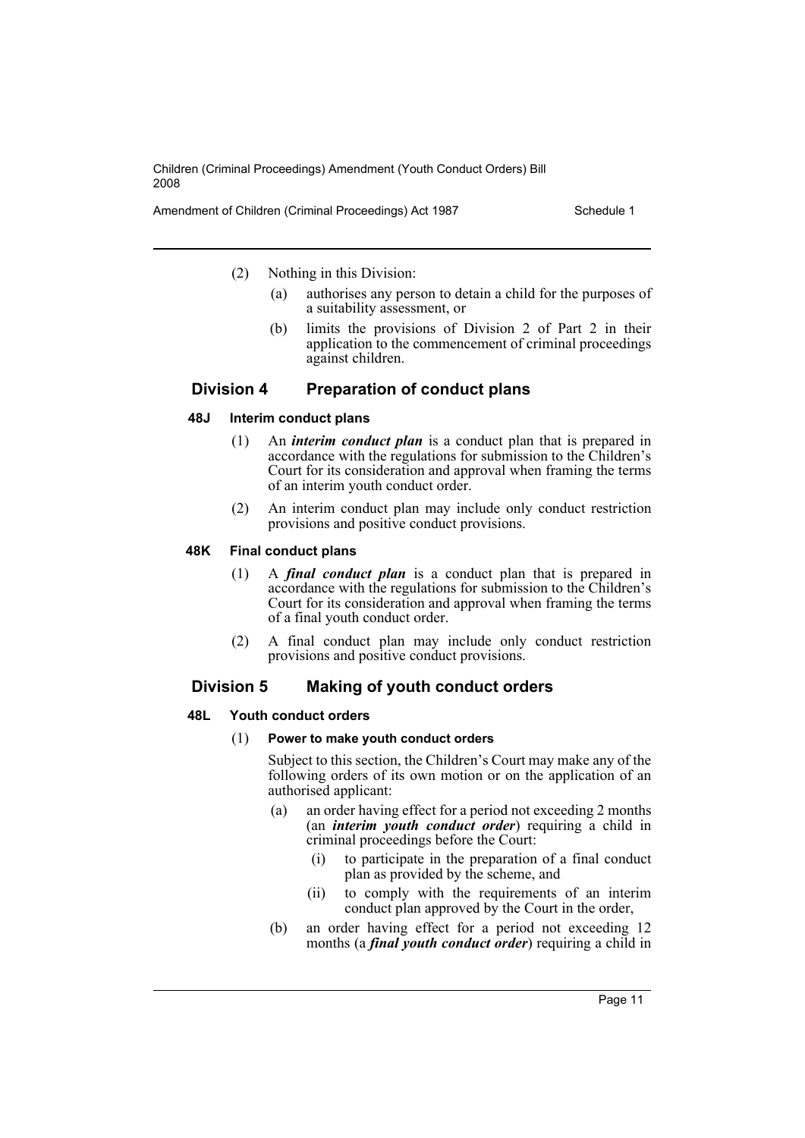Amendment of Children (Criminal Proceedings) Act 1987 Schedule 1

(2) Nothing in this Division:

- (a) authorises any person to detain a child for the purposes of a suitability assessment, or
- (b) limits the provisions of Division 2 of Part 2 in their application to the commencement of criminal proceedings against children.

# **Division 4 Preparation of conduct plans**

## **48J Interim conduct plans**

- (1) An *interim conduct plan* is a conduct plan that is prepared in accordance with the regulations for submission to the Children's Court for its consideration and approval when framing the terms of an interim youth conduct order.
- (2) An interim conduct plan may include only conduct restriction provisions and positive conduct provisions.

## **48K Final conduct plans**

- (1) A *final conduct plan* is a conduct plan that is prepared in accordance with the regulations for submission to the Children's Court for its consideration and approval when framing the terms of a final youth conduct order.
- (2) A final conduct plan may include only conduct restriction provisions and positive conduct provisions.

# **Division 5 Making of youth conduct orders**

#### **48L Youth conduct orders**

#### (1) **Power to make youth conduct orders**

Subject to this section, the Children's Court may make any of the following orders of its own motion or on the application of an authorised applicant:

- (a) an order having effect for a period not exceeding 2 months (an *interim youth conduct order*) requiring a child in criminal proceedings before the Court:
	- (i) to participate in the preparation of a final conduct plan as provided by the scheme, and
	- (ii) to comply with the requirements of an interim conduct plan approved by the Court in the order,
- (b) an order having effect for a period not exceeding 12 months (a *final youth conduct order*) requiring a child in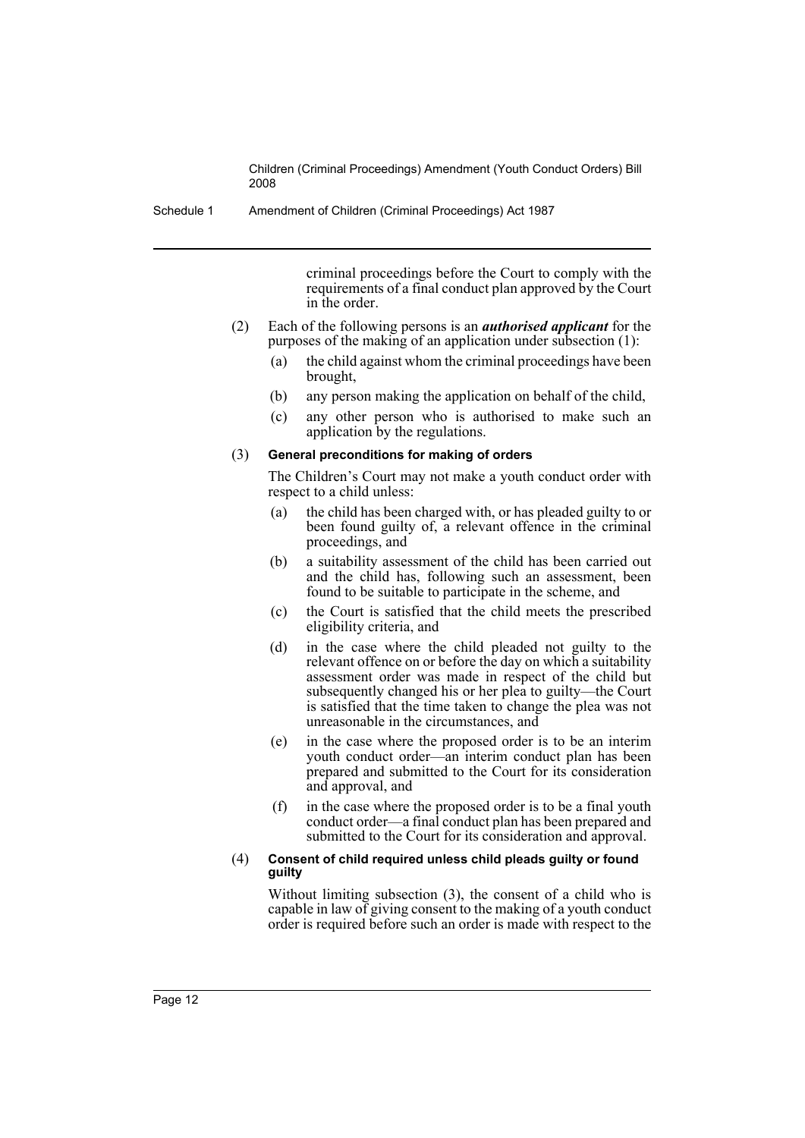Schedule 1 Amendment of Children (Criminal Proceedings) Act 1987

criminal proceedings before the Court to comply with the requirements of a final conduct plan approved by the Court in the order.

- (2) Each of the following persons is an *authorised applicant* for the purposes of the making of an application under subsection (1):
	- (a) the child against whom the criminal proceedings have been brought,
	- (b) any person making the application on behalf of the child,
	- (c) any other person who is authorised to make such an application by the regulations.

#### (3) **General preconditions for making of orders**

The Children's Court may not make a youth conduct order with respect to a child unless:

- (a) the child has been charged with, or has pleaded guilty to or been found guilty of, a relevant offence in the criminal proceedings, and
- (b) a suitability assessment of the child has been carried out and the child has, following such an assessment, been found to be suitable to participate in the scheme, and
- (c) the Court is satisfied that the child meets the prescribed eligibility criteria, and
- (d) in the case where the child pleaded not guilty to the relevant offence on or before the day on which a suitability assessment order was made in respect of the child but subsequently changed his or her plea to guilty—the Court is satisfied that the time taken to change the plea was not unreasonable in the circumstances, and
- (e) in the case where the proposed order is to be an interim youth conduct order—an interim conduct plan has been prepared and submitted to the Court for its consideration and approval, and
- (f) in the case where the proposed order is to be a final youth conduct order—a final conduct plan has been prepared and submitted to the Court for its consideration and approval.

#### (4) **Consent of child required unless child pleads guilty or found guilty**

Without limiting subsection (3), the consent of a child who is capable in law of giving consent to the making of a youth conduct order is required before such an order is made with respect to the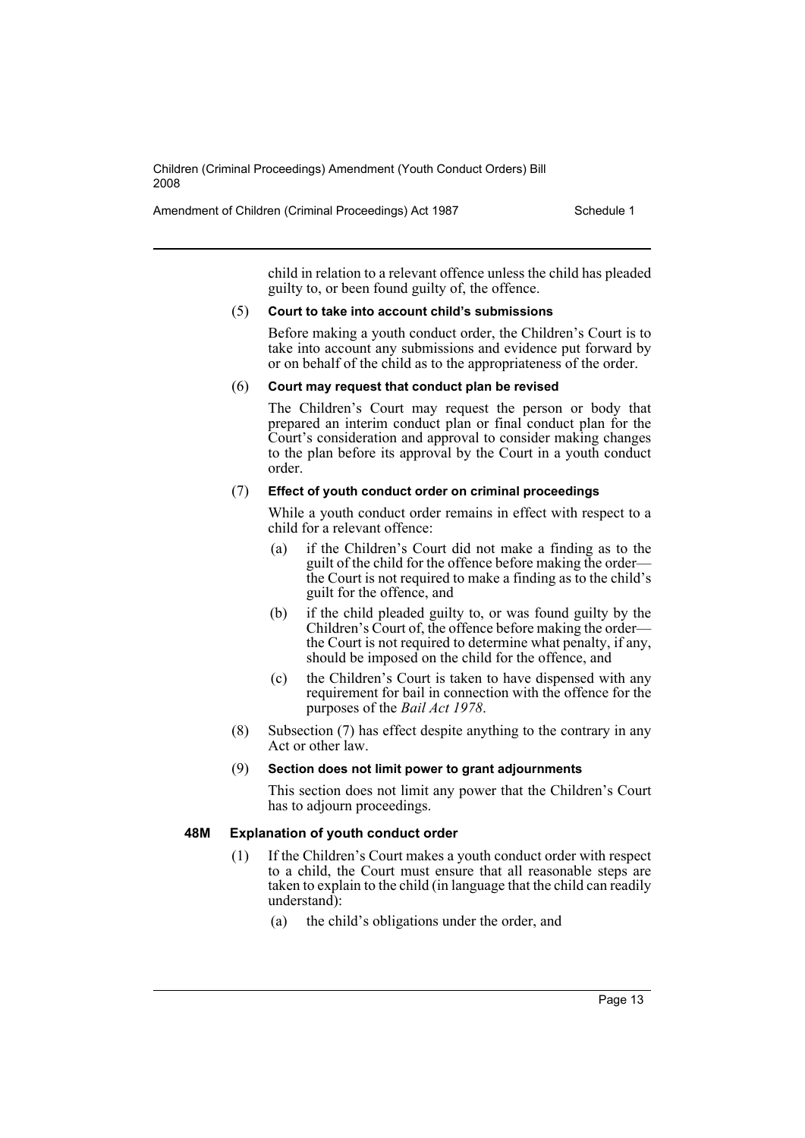Amendment of Children (Criminal Proceedings) Act 1987 Schedule 1

child in relation to a relevant offence unless the child has pleaded guilty to, or been found guilty of, the offence.

#### (5) **Court to take into account child's submissions**

Before making a youth conduct order, the Children's Court is to take into account any submissions and evidence put forward by or on behalf of the child as to the appropriateness of the order.

#### (6) **Court may request that conduct plan be revised**

The Children's Court may request the person or body that prepared an interim conduct plan or final conduct plan for the Court's consideration and approval to consider making changes to the plan before its approval by the Court in a youth conduct order.

#### (7) **Effect of youth conduct order on criminal proceedings**

While a youth conduct order remains in effect with respect to a child for a relevant offence:

- (a) if the Children's Court did not make a finding as to the guilt of the child for the offence before making the order the Court is not required to make a finding as to the child's guilt for the offence, and
- (b) if the child pleaded guilty to, or was found guilty by the Children's Court of, the offence before making the order the Court is not required to determine what penalty, if any, should be imposed on the child for the offence, and
- (c) the Children's Court is taken to have dispensed with any requirement for bail in connection with the offence for the purposes of the *Bail Act 1978*.
- (8) Subsection (7) has effect despite anything to the contrary in any Act or other law.

#### (9) **Section does not limit power to grant adjournments**

This section does not limit any power that the Children's Court has to adjourn proceedings.

# **48M Explanation of youth conduct order**

- (1) If the Children's Court makes a youth conduct order with respect to a child, the Court must ensure that all reasonable steps are taken to explain to the child (in language that the child can readily understand):
	- (a) the child's obligations under the order, and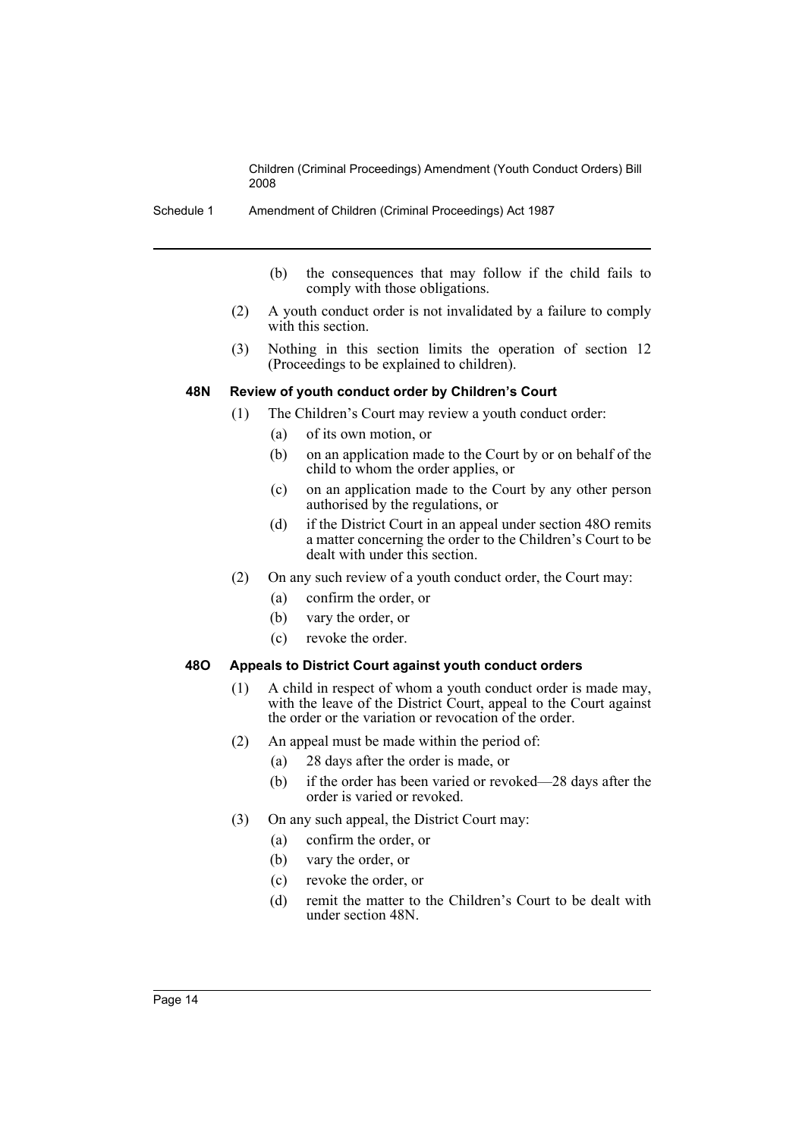- Schedule 1 Amendment of Children (Criminal Proceedings) Act 1987
	- (b) the consequences that may follow if the child fails to comply with those obligations.
	- (2) A youth conduct order is not invalidated by a failure to comply with this section.
	- (3) Nothing in this section limits the operation of section 12 (Proceedings to be explained to children).

#### **48N Review of youth conduct order by Children's Court**

- (1) The Children's Court may review a youth conduct order:
	- (a) of its own motion, or
	- (b) on an application made to the Court by or on behalf of the child to whom the order applies, or
	- (c) on an application made to the Court by any other person authorised by the regulations, or
	- (d) if the District Court in an appeal under section 48O remits a matter concerning the order to the Children's Court to be dealt with under this section.
- (2) On any such review of a youth conduct order, the Court may:
	- (a) confirm the order, or
	- (b) vary the order, or
	- (c) revoke the order.

# **48O Appeals to District Court against youth conduct orders**

- (1) A child in respect of whom a youth conduct order is made may, with the leave of the District Court, appeal to the Court against the order or the variation or revocation of the order.
- (2) An appeal must be made within the period of:
	- (a) 28 days after the order is made, or
	- (b) if the order has been varied or revoked—28 days after the order is varied or revoked.
- (3) On any such appeal, the District Court may:
	- (a) confirm the order, or
	- (b) vary the order, or
	- (c) revoke the order, or
	- (d) remit the matter to the Children's Court to be dealt with under section 48N.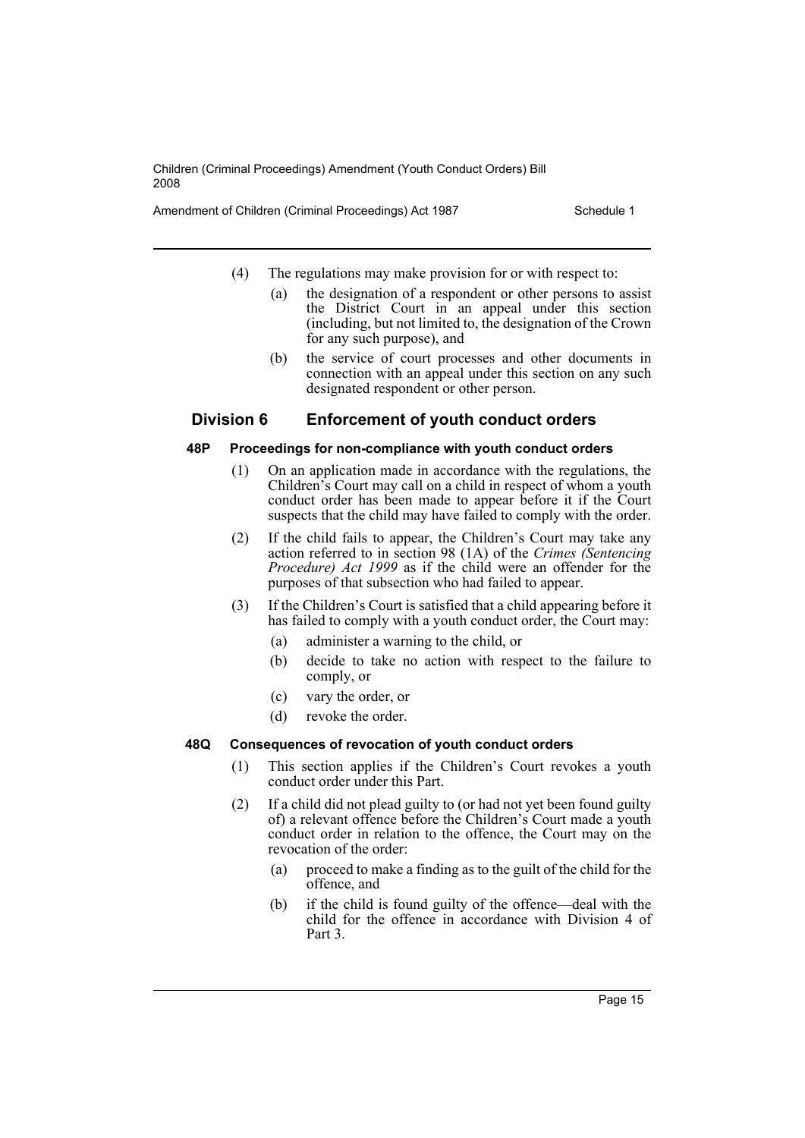Amendment of Children (Criminal Proceedings) Act 1987 Schedule 1

- (4) The regulations may make provision for or with respect to:
	- (a) the designation of a respondent or other persons to assist the District Court in an appeal under this section (including, but not limited to, the designation of the Crown for any such purpose), and
	- (b) the service of court processes and other documents in connection with an appeal under this section on any such designated respondent or other person.

# **Division 6 Enforcement of youth conduct orders**

# **48P Proceedings for non-compliance with youth conduct orders**

- (1) On an application made in accordance with the regulations, the Children's Court may call on a child in respect of whom a youth conduct order has been made to appear before it if the Court suspects that the child may have failed to comply with the order.
- (2) If the child fails to appear, the Children's Court may take any action referred to in section 98 (1A) of the *Crimes (Sentencing Procedure) Act 1999* as if the child were an offender for the purposes of that subsection who had failed to appear.
- (3) If the Children's Court is satisfied that a child appearing before it has failed to comply with a youth conduct order, the Court may:
	- (a) administer a warning to the child, or
	- (b) decide to take no action with respect to the failure to comply, or
	- (c) vary the order, or
	- (d) revoke the order.

# **48Q Consequences of revocation of youth conduct orders**

- (1) This section applies if the Children's Court revokes a youth conduct order under this Part.
- (2) If a child did not plead guilty to (or had not yet been found guilty of) a relevant offence before the Children's Court made a youth conduct order in relation to the offence, the Court may on the revocation of the order:
	- (a) proceed to make a finding as to the guilt of the child for the offence, and
	- (b) if the child is found guilty of the offence—deal with the child for the offence in accordance with Division 4 of Part 3.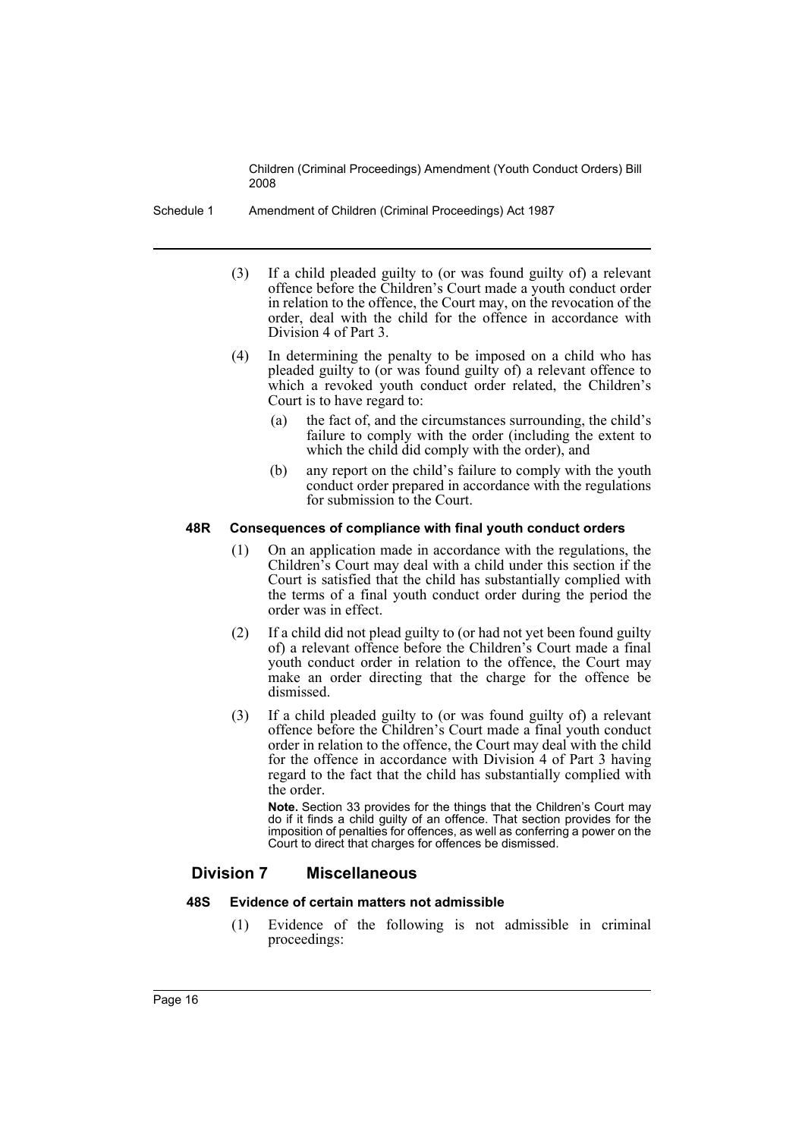Schedule 1 Amendment of Children (Criminal Proceedings) Act 1987

- (3) If a child pleaded guilty to (or was found guilty of) a relevant offence before the Children's Court made a youth conduct order in relation to the offence, the Court may, on the revocation of the order, deal with the child for the offence in accordance with Division 4 of Part 3.
- (4) In determining the penalty to be imposed on a child who has pleaded guilty to (or was found guilty of) a relevant offence to which a revoked youth conduct order related, the Children's Court is to have regard to:
	- (a) the fact of, and the circumstances surrounding, the child's failure to comply with the order (including the extent to which the child did comply with the order), and
	- (b) any report on the child's failure to comply with the youth conduct order prepared in accordance with the regulations for submission to the Court.

#### **48R Consequences of compliance with final youth conduct orders**

- (1) On an application made in accordance with the regulations, the Children's Court may deal with a child under this section if the Court is satisfied that the child has substantially complied with the terms of a final youth conduct order during the period the order was in effect.
- (2) If a child did not plead guilty to (or had not yet been found guilty of) a relevant offence before the Children's Court made a final youth conduct order in relation to the offence, the Court may make an order directing that the charge for the offence be dismissed.
- (3) If a child pleaded guilty to (or was found guilty of) a relevant offence before the Children's Court made a final youth conduct order in relation to the offence, the Court may deal with the child for the offence in accordance with Division 4 of Part 3 having regard to the fact that the child has substantially complied with the order.

**Note.** Section 33 provides for the things that the Children's Court may do if it finds a child guilty of an offence. That section provides for the imposition of penalties for offences, as well as conferring a power on the Court to direct that charges for offences be dismissed.

# **Division 7 Miscellaneous**

# **48S Evidence of certain matters not admissible**

(1) Evidence of the following is not admissible in criminal proceedings: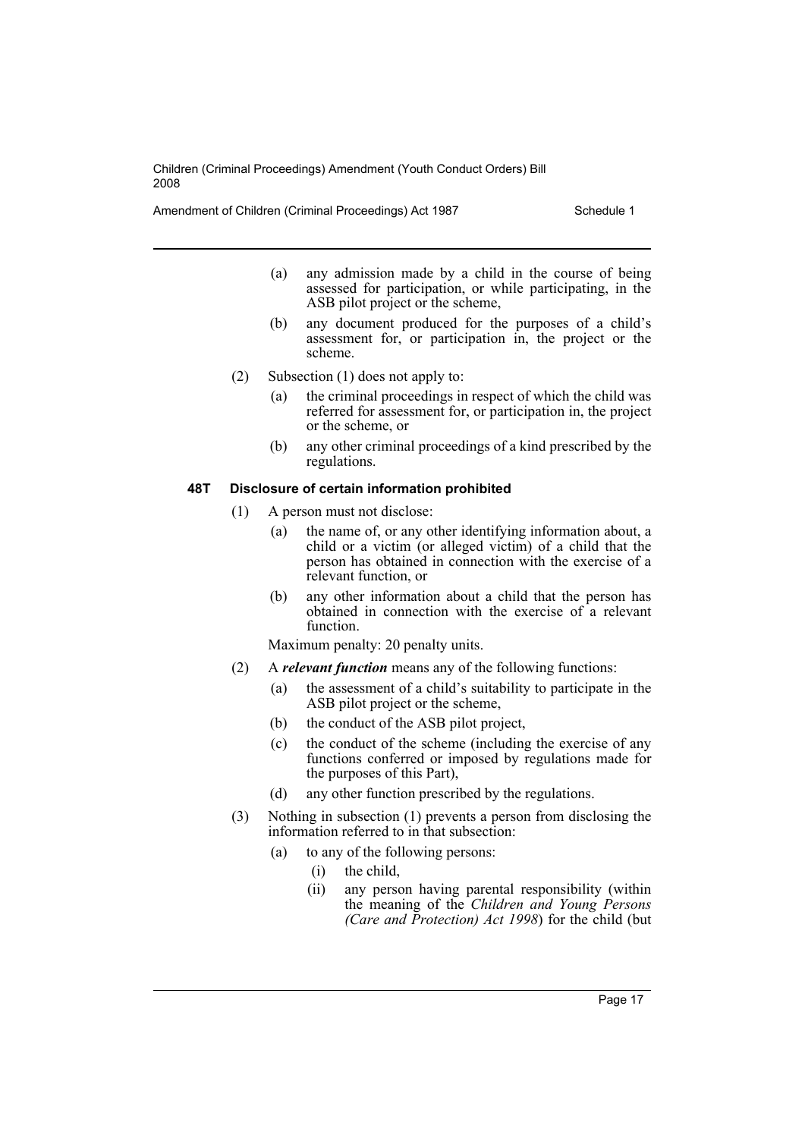Amendment of Children (Criminal Proceedings) Act 1987 Schedule 1

- (a) any admission made by a child in the course of being assessed for participation, or while participating, in the ASB pilot project or the scheme,
- (b) any document produced for the purposes of a child's assessment for, or participation in, the project or the scheme.
- (2) Subsection (1) does not apply to:
	- (a) the criminal proceedings in respect of which the child was referred for assessment for, or participation in, the project or the scheme, or
	- (b) any other criminal proceedings of a kind prescribed by the regulations.

## **48T Disclosure of certain information prohibited**

- (1) A person must not disclose:
	- (a) the name of, or any other identifying information about, a child or a victim (or alleged victim) of a child that the person has obtained in connection with the exercise of a relevant function, or
	- (b) any other information about a child that the person has obtained in connection with the exercise of a relevant function.

Maximum penalty: 20 penalty units.

- (2) A *relevant function* means any of the following functions:
	- (a) the assessment of a child's suitability to participate in the ASB pilot project or the scheme,
	- (b) the conduct of the ASB pilot project,
	- (c) the conduct of the scheme (including the exercise of any functions conferred or imposed by regulations made for the purposes of this Part),
	- (d) any other function prescribed by the regulations.
- (3) Nothing in subsection (1) prevents a person from disclosing the information referred to in that subsection:
	- (a) to any of the following persons:
		- (i) the child,
		- (ii) any person having parental responsibility (within the meaning of the *Children and Young Persons (Care and Protection) Act 1998*) for the child (but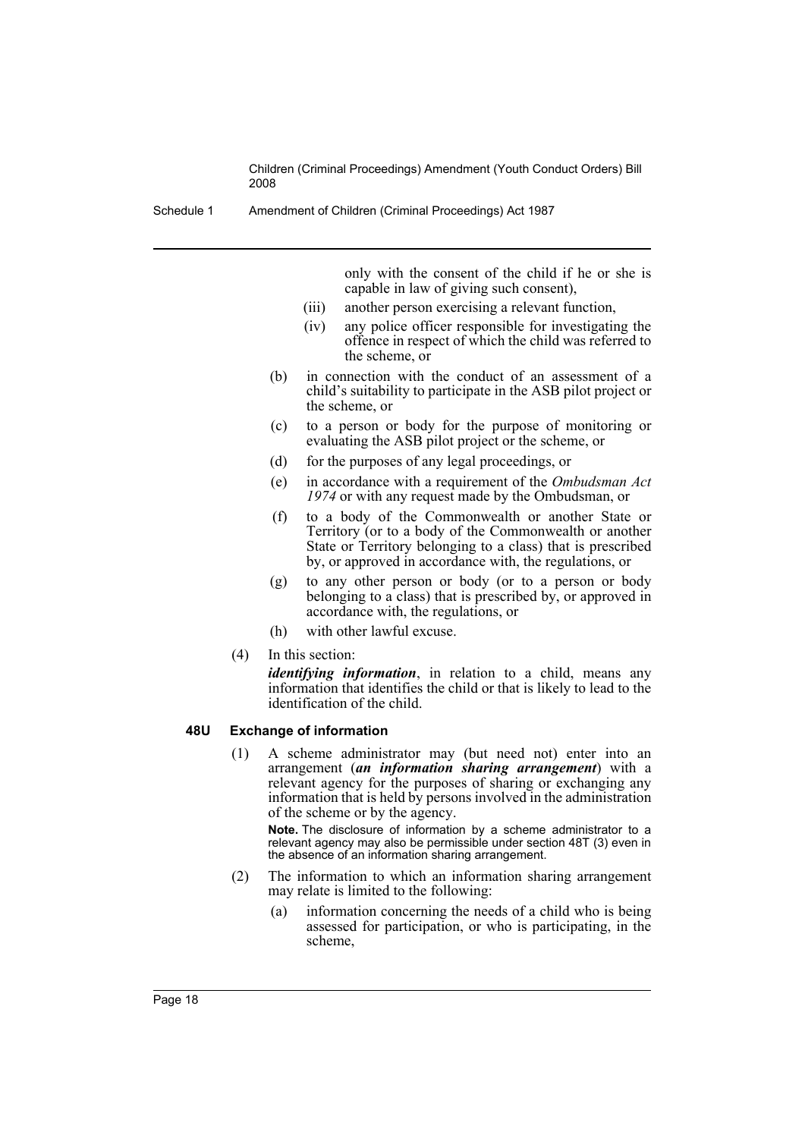Schedule 1 Amendment of Children (Criminal Proceedings) Act 1987

only with the consent of the child if he or she is capable in law of giving such consent),

- (iii) another person exercising a relevant function,
- (iv) any police officer responsible for investigating the offence in respect of which the child was referred to the scheme, or
- (b) in connection with the conduct of an assessment of a child's suitability to participate in the ASB pilot project or the scheme, or
- (c) to a person or body for the purpose of monitoring or evaluating the ASB pilot project or the scheme, or
- (d) for the purposes of any legal proceedings, or
- (e) in accordance with a requirement of the *Ombudsman Act 1974* or with any request made by the Ombudsman, or
- (f) to a body of the Commonwealth or another State or Territory (or to a body of the Commonwealth or another State or Territory belonging to a class) that is prescribed by, or approved in accordance with, the regulations, or
- (g) to any other person or body (or to a person or body belonging to a class) that is prescribed by, or approved in accordance with, the regulations, or
- (h) with other lawful excuse.
- (4) In this section:

*identifying information*, in relation to a child, means any information that identifies the child or that is likely to lead to the identification of the child.

## **48U Exchange of information**

(1) A scheme administrator may (but need not) enter into an arrangement (*an information sharing arrangement*) with a relevant agency for the purposes of sharing or exchanging any information that is held by persons involved in the administration of the scheme or by the agency.

**Note.** The disclosure of information by a scheme administrator to a relevant agency may also be permissible under section 48T (3) even in the absence of an information sharing arrangement.

- (2) The information to which an information sharing arrangement may relate is limited to the following:
	- (a) information concerning the needs of a child who is being assessed for participation, or who is participating, in the scheme,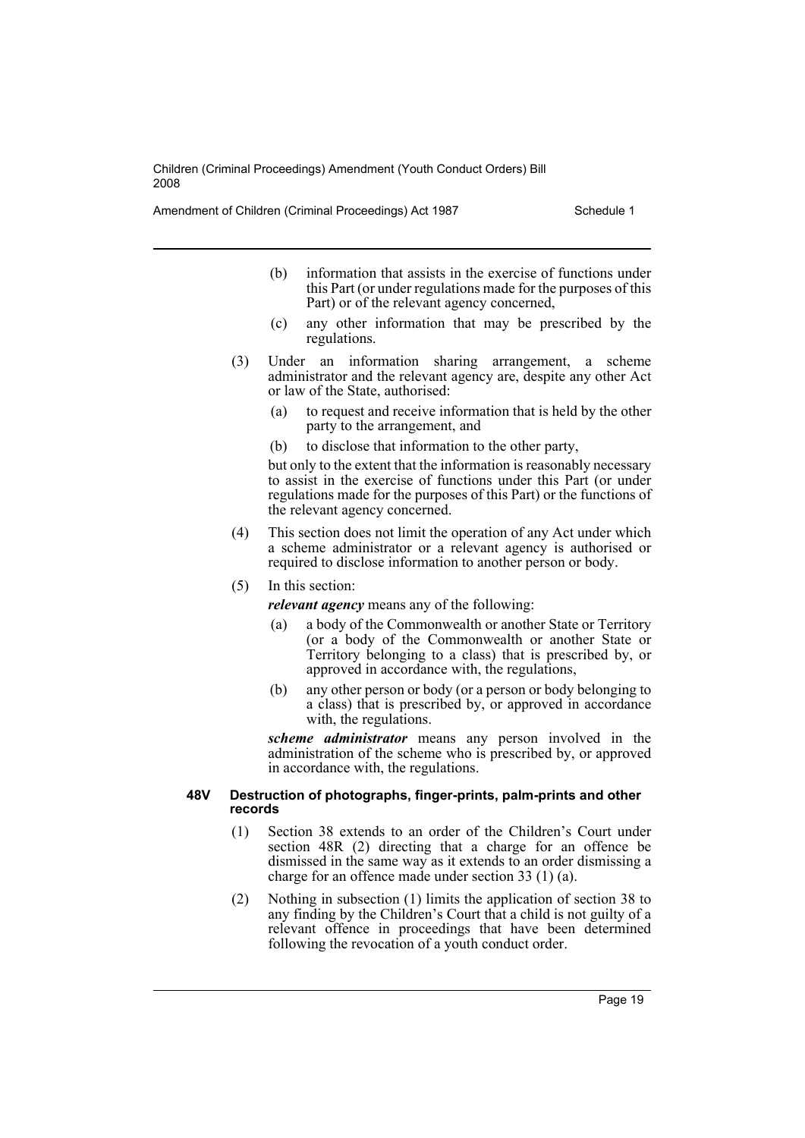Amendment of Children (Criminal Proceedings) Act 1987 Schedule 1

- (b) information that assists in the exercise of functions under this Part (or under regulations made for the purposes of this Part) or of the relevant agency concerned,
- (c) any other information that may be prescribed by the regulations.
- (3) Under an information sharing arrangement, a scheme administrator and the relevant agency are, despite any other Act or law of the State, authorised:
	- (a) to request and receive information that is held by the other party to the arrangement, and
	- (b) to disclose that information to the other party,

but only to the extent that the information is reasonably necessary to assist in the exercise of functions under this Part (or under regulations made for the purposes of this Part) or the functions of the relevant agency concerned.

- (4) This section does not limit the operation of any Act under which a scheme administrator or a relevant agency is authorised or required to disclose information to another person or body.
- (5) In this section:

*relevant agency* means any of the following:

- (a) a body of the Commonwealth or another State or Territory (or a body of the Commonwealth or another State or Territory belonging to a class) that is prescribed by, or approved in accordance with, the regulations,
- (b) any other person or body (or a person or body belonging to a class) that is prescribed by, or approved in accordance with, the regulations.

*scheme administrator* means any person involved in the administration of the scheme who is prescribed by, or approved in accordance with, the regulations.

#### **48V Destruction of photographs, finger-prints, palm-prints and other records**

- (1) Section 38 extends to an order of the Children's Court under section 48R (2) directing that a charge for an offence be dismissed in the same way as it extends to an order dismissing a charge for an offence made under section 33 (1) (a).
- (2) Nothing in subsection (1) limits the application of section 38 to any finding by the Children's Court that a child is not guilty of a relevant offence in proceedings that have been determined following the revocation of a youth conduct order.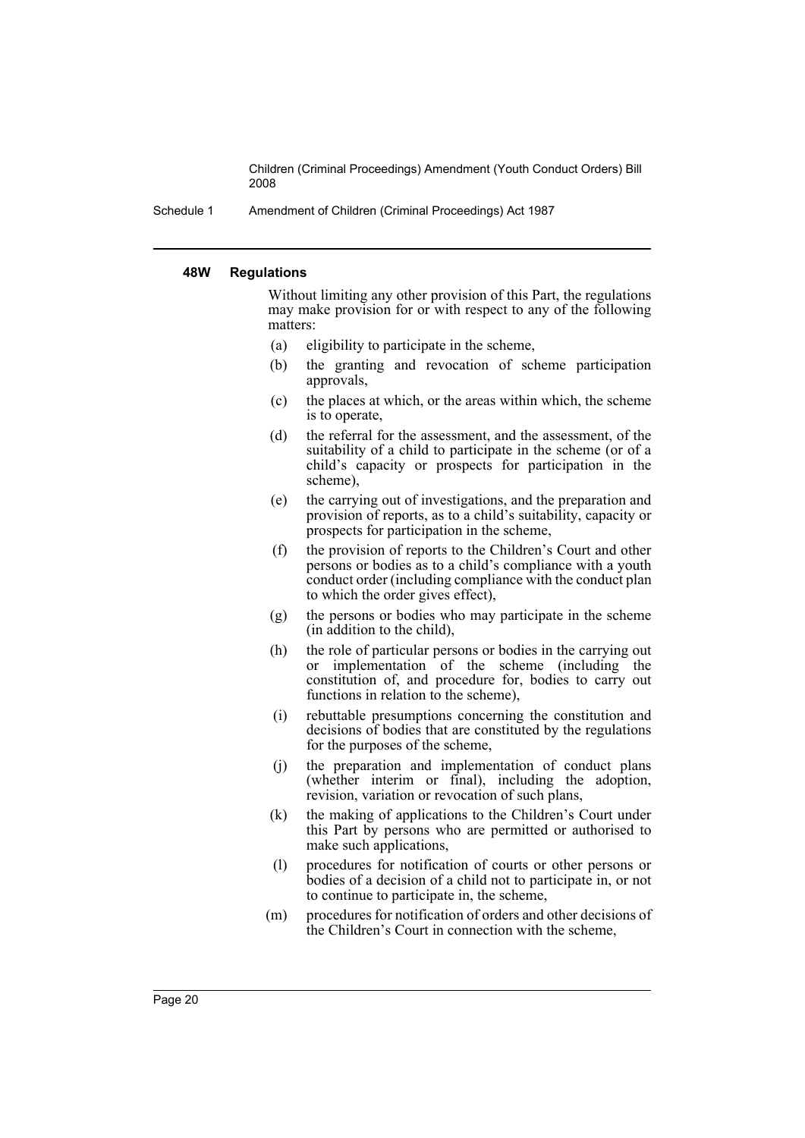Schedule 1 Amendment of Children (Criminal Proceedings) Act 1987

#### **48W Regulations**

Without limiting any other provision of this Part, the regulations may make provision for or with respect to any of the following matters:

- (a) eligibility to participate in the scheme,
- (b) the granting and revocation of scheme participation approvals,
- (c) the places at which, or the areas within which, the scheme is to operate,
- (d) the referral for the assessment, and the assessment, of the suitability of a child to participate in the scheme (or of a child's capacity or prospects for participation in the scheme),
- (e) the carrying out of investigations, and the preparation and provision of reports, as to a child's suitability, capacity or prospects for participation in the scheme,
- (f) the provision of reports to the Children's Court and other persons or bodies as to a child's compliance with a youth conduct order (including compliance with the conduct plan to which the order gives effect),
- (g) the persons or bodies who may participate in the scheme (in addition to the child),
- (h) the role of particular persons or bodies in the carrying out or implementation of the scheme (including the constitution of, and procedure for, bodies to carry out functions in relation to the scheme),
- (i) rebuttable presumptions concerning the constitution and decisions of bodies that are constituted by the regulations for the purposes of the scheme,
- (j) the preparation and implementation of conduct plans (whether interim or final), including the adoption, revision, variation or revocation of such plans,
- (k) the making of applications to the Children's Court under this Part by persons who are permitted or authorised to make such applications,
- (l) procedures for notification of courts or other persons or bodies of a decision of a child not to participate in, or not to continue to participate in, the scheme,
- (m) procedures for notification of orders and other decisions of the Children's Court in connection with the scheme,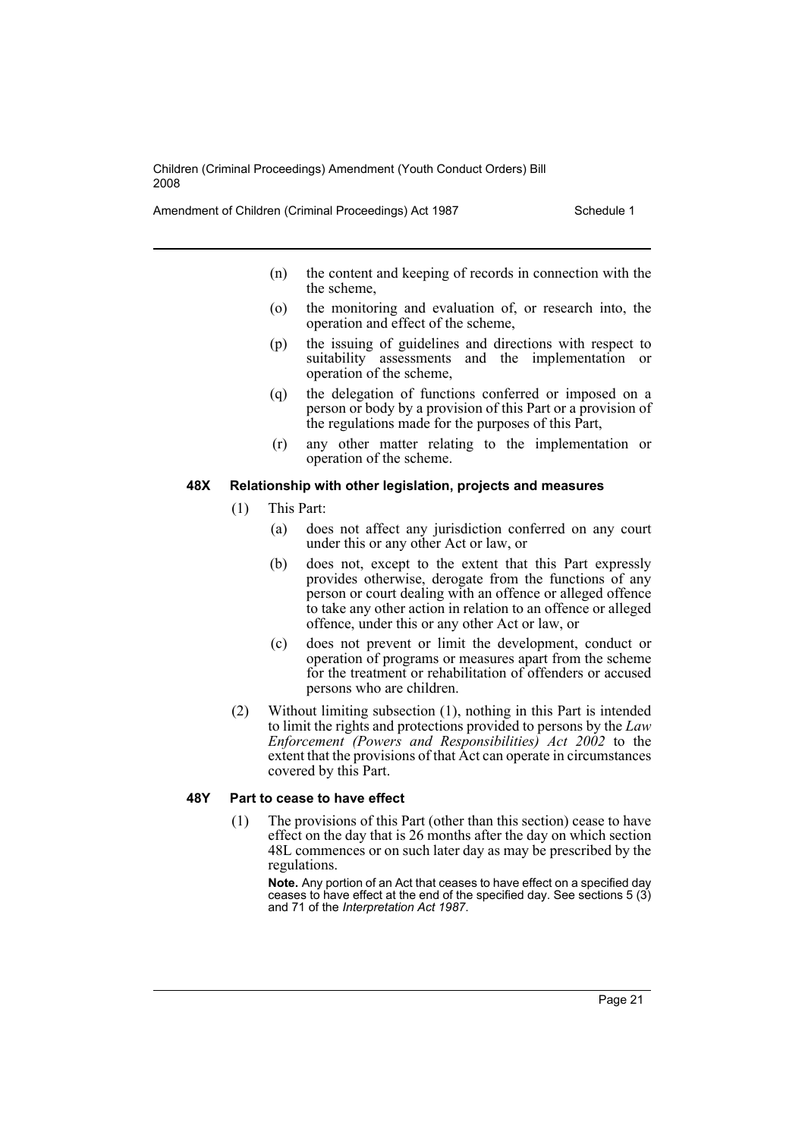Amendment of Children (Criminal Proceedings) Act 1987 Schedule 1

- (n) the content and keeping of records in connection with the the scheme,
- (o) the monitoring and evaluation of, or research into, the operation and effect of the scheme,
- (p) the issuing of guidelines and directions with respect to suitability assessments and the implementation or operation of the scheme,
- (q) the delegation of functions conferred or imposed on a person or body by a provision of this Part or a provision of the regulations made for the purposes of this Part,
- (r) any other matter relating to the implementation or operation of the scheme.

#### **48X Relationship with other legislation, projects and measures**

- (1) This Part:
	- (a) does not affect any jurisdiction conferred on any court under this or any other Act or law, or
	- (b) does not, except to the extent that this Part expressly provides otherwise, derogate from the functions of any person or court dealing with an offence or alleged offence to take any other action in relation to an offence or alleged offence, under this or any other Act or law, or
	- (c) does not prevent or limit the development, conduct or operation of programs or measures apart from the scheme for the treatment or rehabilitation of offenders or accused persons who are children.
- (2) Without limiting subsection (1), nothing in this Part is intended to limit the rights and protections provided to persons by the *Law Enforcement (Powers and Responsibilities) Act 2002* to the extent that the provisions of that Act can operate in circumstances covered by this Part.

#### **48Y Part to cease to have effect**

(1) The provisions of this Part (other than this section) cease to have effect on the day that is 26 months after the day on which section 48L commences or on such later day as may be prescribed by the regulations.

**Note.** Any portion of an Act that ceases to have effect on a specified day ceases to have effect at the end of the specified day. See sections 5 (3) and 71 of the *Interpretation Act 1987*.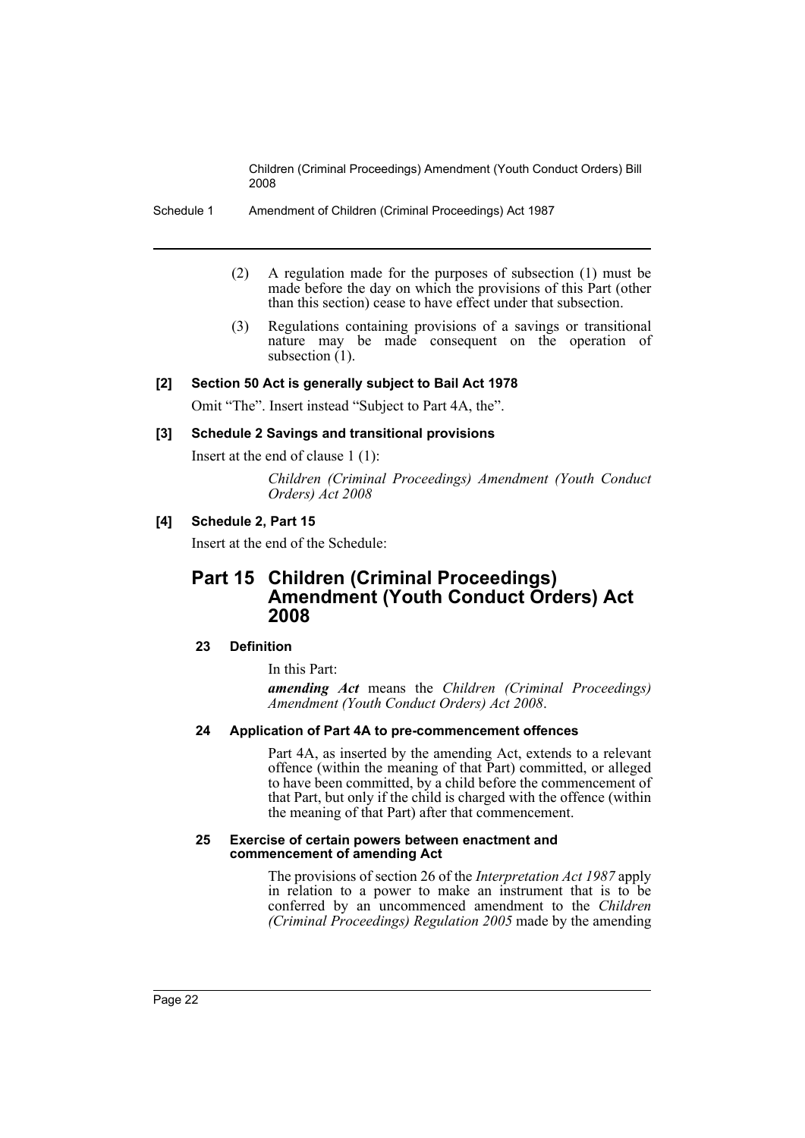Schedule 1 Amendment of Children (Criminal Proceedings) Act 1987

- (2) A regulation made for the purposes of subsection (1) must be made before the day on which the provisions of this Part (other than this section) cease to have effect under that subsection.
- (3) Regulations containing provisions of a savings or transitional nature may be made consequent on the operation of subsection  $(1)$ .

# **[2] Section 50 Act is generally subject to Bail Act 1978**

Omit "The". Insert instead "Subject to Part 4A, the".

## **[3] Schedule 2 Savings and transitional provisions**

Insert at the end of clause 1 (1):

*Children (Criminal Proceedings) Amendment (Youth Conduct Orders) Act 2008*

# **[4] Schedule 2, Part 15**

Insert at the end of the Schedule:

# **Part 15 Children (Criminal Proceedings) Amendment (Youth Conduct Orders) Act 2008**

## **23 Definition**

In this Part:

*amending Act* means the *Children (Criminal Proceedings) Amendment (Youth Conduct Orders) Act 2008*.

#### **24 Application of Part 4A to pre-commencement offences**

Part 4A, as inserted by the amending Act, extends to a relevant offence (within the meaning of that Part) committed, or alleged to have been committed, by a child before the commencement of that Part, but only if the child is charged with the offence (within the meaning of that Part) after that commencement.

#### **25 Exercise of certain powers between enactment and commencement of amending Act**

The provisions of section 26 of the *Interpretation Act 1987* apply in relation to a power to make an instrument that is to be conferred by an uncommenced amendment to the *Children (Criminal Proceedings) Regulation 2005* made by the amending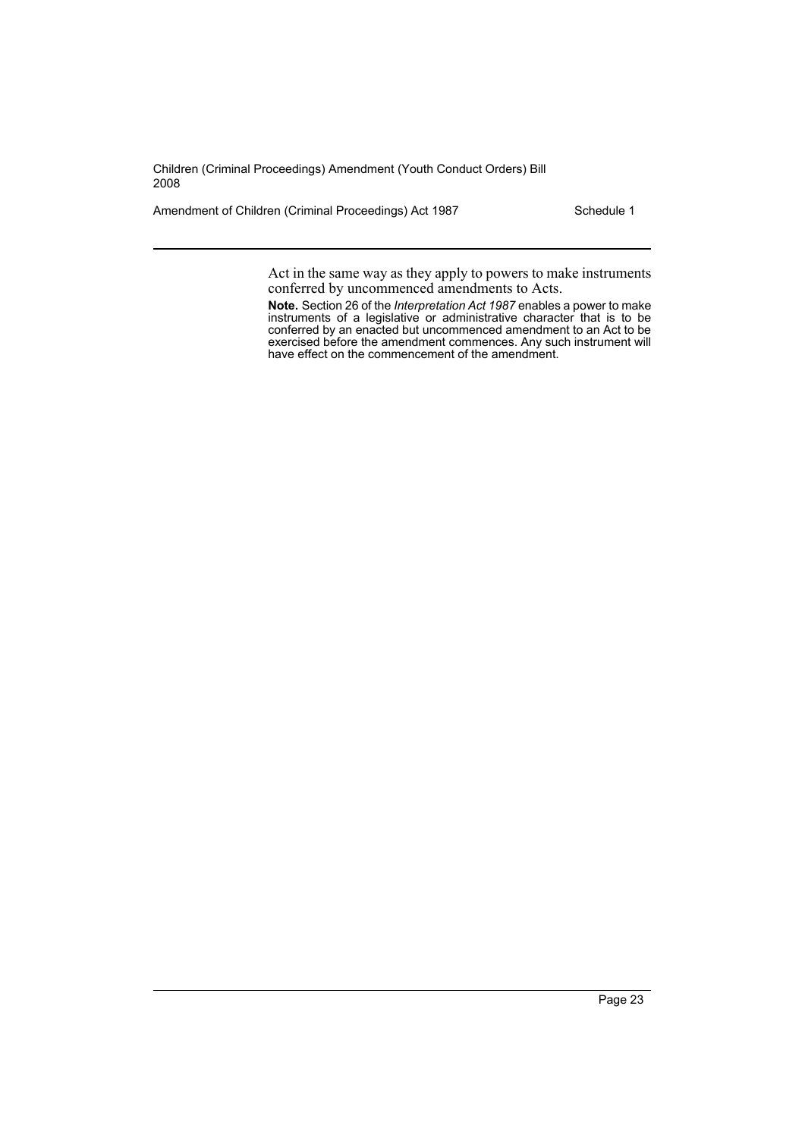Amendment of Children (Criminal Proceedings) Act 1987 Schedule 1

Act in the same way as they apply to powers to make instruments conferred by uncommenced amendments to Acts.

**Note.** Section 26 of the *Interpretation Act 1987* enables a power to make instruments of a legislative or administrative character that is to be conferred by an enacted but uncommenced amendment to an Act to be exercised before the amendment commences. Any such instrument will have effect on the commencement of the amendment.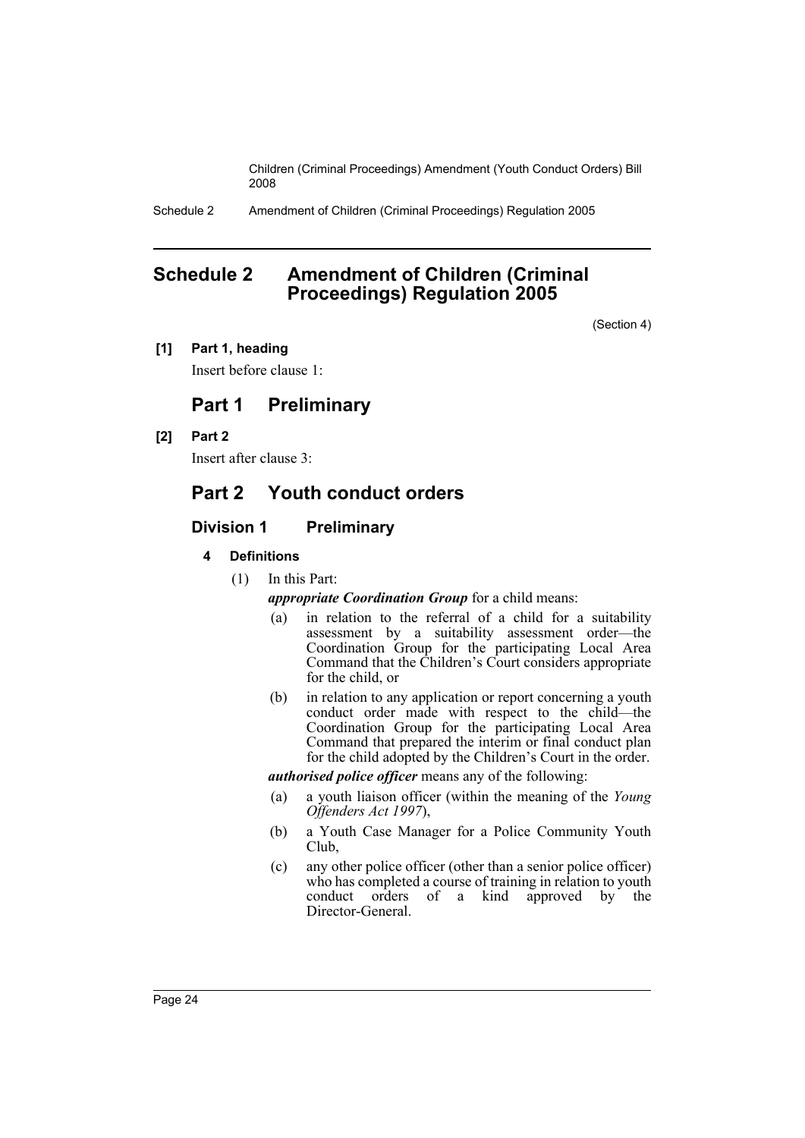Schedule 2 Amendment of Children (Criminal Proceedings) Regulation 2005

# <span id="page-24-0"></span>**Schedule 2 Amendment of Children (Criminal Proceedings) Regulation 2005**

(Section 4)

**[1] Part 1, heading**

Insert before clause 1:

# **Part 1 Preliminary**

**[2] Part 2**

Insert after clause 3:

# **Part 2 Youth conduct orders**

# **Division 1 Preliminary**

- **4 Definitions**
	- (1) In this Part:

*appropriate Coordination Group* for a child means:

- (a) in relation to the referral of a child for a suitability assessment by a suitability assessment order—the Coordination Group for the participating Local Area Command that the Children's Court considers appropriate for the child, or
- (b) in relation to any application or report concerning a youth conduct order made with respect to the child—the Coordination Group for the participating Local Area Command that prepared the interim or final conduct plan for the child adopted by the Children's Court in the order.

*authorised police officer* means any of the following:

- (a) a youth liaison officer (within the meaning of the *Young Offenders Act 1997*),
- (b) a Youth Case Manager for a Police Community Youth Club,
- (c) any other police officer (other than a senior police officer) who has completed a course of training in relation to youth conduct orders of a kind approved by the Director-General.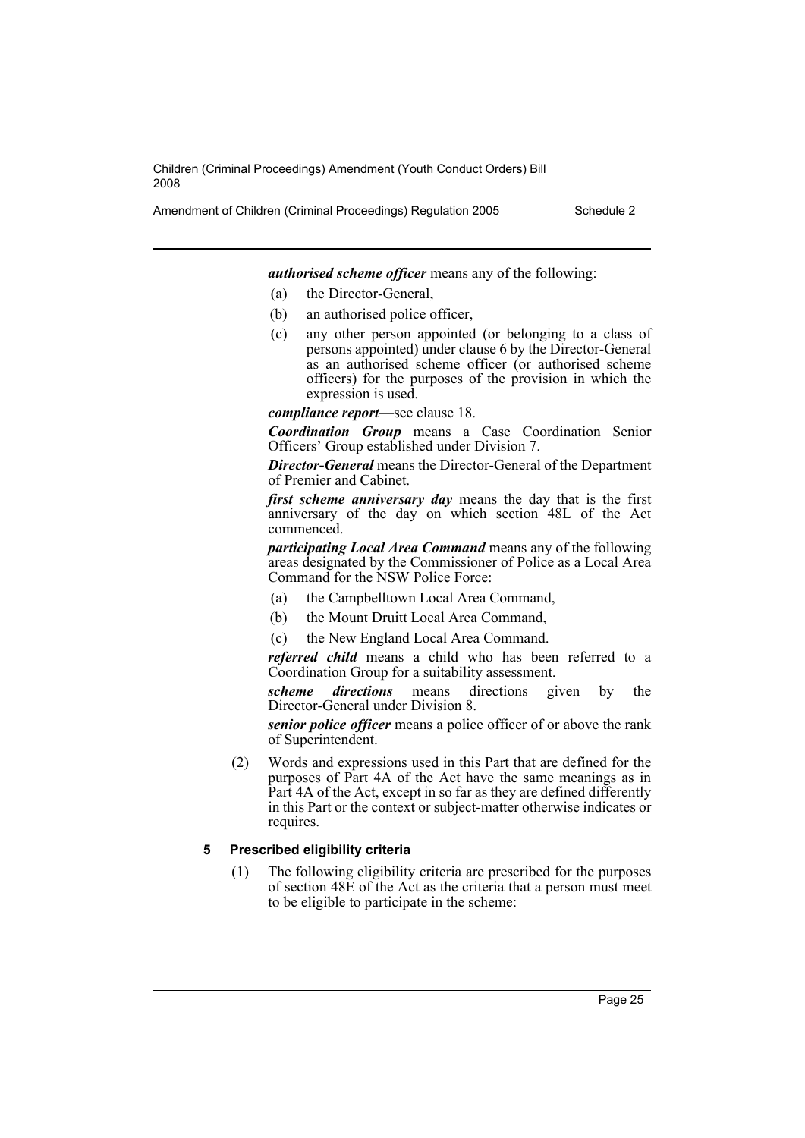Amendment of Children (Criminal Proceedings) Regulation 2005 Schedule 2

*authorised scheme officer* means any of the following:

- (a) the Director-General,
- (b) an authorised police officer,
- (c) any other person appointed (or belonging to a class of persons appointed) under clause 6 by the Director-General as an authorised scheme officer (or authorised scheme officers) for the purposes of the provision in which the expression is used.

*compliance report*—see clause 18.

*Coordination Group* means a Case Coordination Senior Officers' Group established under Division 7.

*Director-General* means the Director-General of the Department of Premier and Cabinet.

*first scheme anniversary day* means the day that is the first anniversary of the day on which section 48L of the Act commenced.

*participating Local Area Command* means any of the following areas designated by the Commissioner of Police as a Local Area Command for the NSW Police Force:

- (a) the Campbelltown Local Area Command,
- (b) the Mount Druitt Local Area Command,
- (c) the New England Local Area Command.

*referred child* means a child who has been referred to a Coordination Group for a suitability assessment.

*scheme directions* means directions given by the Director-General under Division 8.

*senior police officer* means a police officer of or above the rank of Superintendent.

(2) Words and expressions used in this Part that are defined for the purposes of Part 4A of the Act have the same meanings as in Part 4A of the Act, except in so far as they are defined differently in this Part or the context or subject-matter otherwise indicates or requires.

# **5 Prescribed eligibility criteria**

(1) The following eligibility criteria are prescribed for the purposes of section 48E of the Act as the criteria that a person must meet to be eligible to participate in the scheme: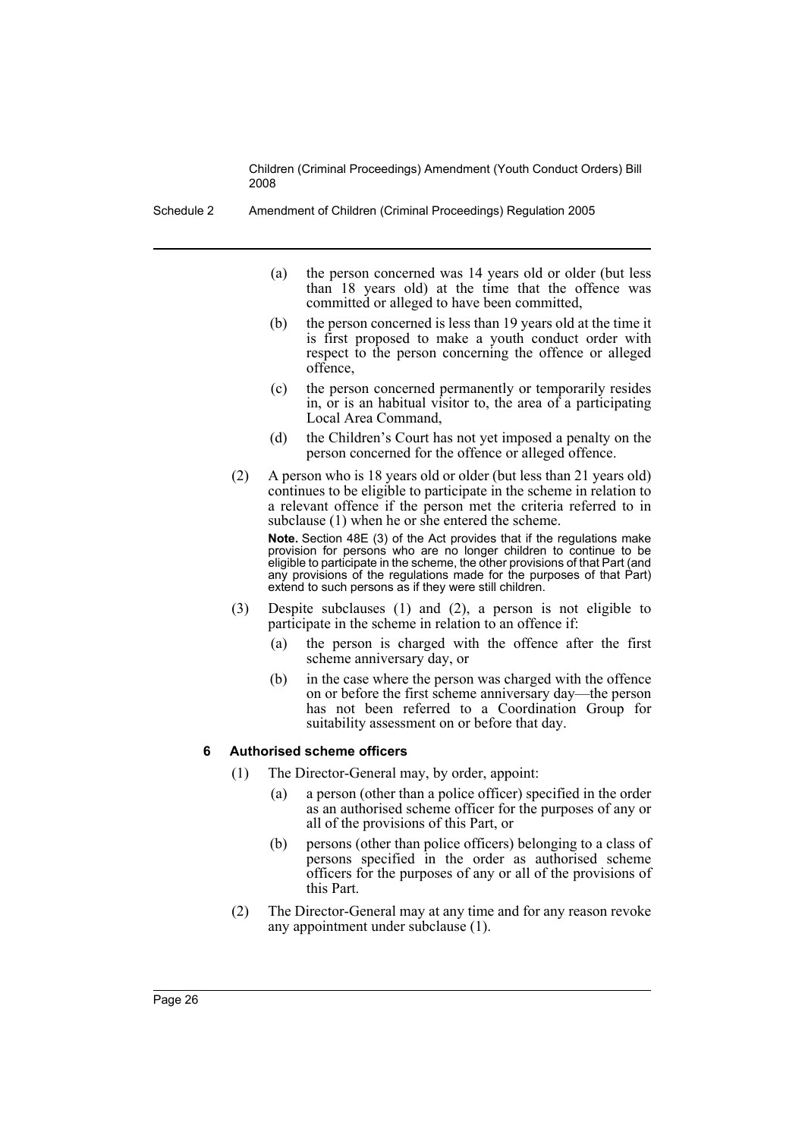Schedule 2 Amendment of Children (Criminal Proceedings) Regulation 2005

- (a) the person concerned was 14 years old or older (but less than 18 years old) at the time that the offence was committed or alleged to have been committed,
- (b) the person concerned is less than 19 years old at the time it is first proposed to make a youth conduct order with respect to the person concerning the offence or alleged offence,
- (c) the person concerned permanently or temporarily resides in, or is an habitual visitor to, the area of a participating Local Area Command,
- (d) the Children's Court has not yet imposed a penalty on the person concerned for the offence or alleged offence.
- (2) A person who is 18 years old or older (but less than 21 years old) continues to be eligible to participate in the scheme in relation to a relevant offence if the person met the criteria referred to in subclause (1) when he or she entered the scheme. **Note.** Section 48E (3) of the Act provides that if the regulations make provision for persons who are no longer children to continue to be eligible to participate in the scheme, the other provisions of that Part (and any provisions of the regulations made for the purposes of that Part)
- (3) Despite subclauses (1) and (2), a person is not eligible to participate in the scheme in relation to an offence if:

extend to such persons as if they were still children.

- (a) the person is charged with the offence after the first scheme anniversary day, or
- (b) in the case where the person was charged with the offence on or before the first scheme anniversary day—the person has not been referred to a Coordination Group for suitability assessment on or before that day.

# **6 Authorised scheme officers**

- (1) The Director-General may, by order, appoint:
	- (a) a person (other than a police officer) specified in the order as an authorised scheme officer for the purposes of any or all of the provisions of this Part, or
	- (b) persons (other than police officers) belonging to a class of persons specified in the order as authorised scheme officers for the purposes of any or all of the provisions of this Part.
- (2) The Director-General may at any time and for any reason revoke any appointment under subclause (1).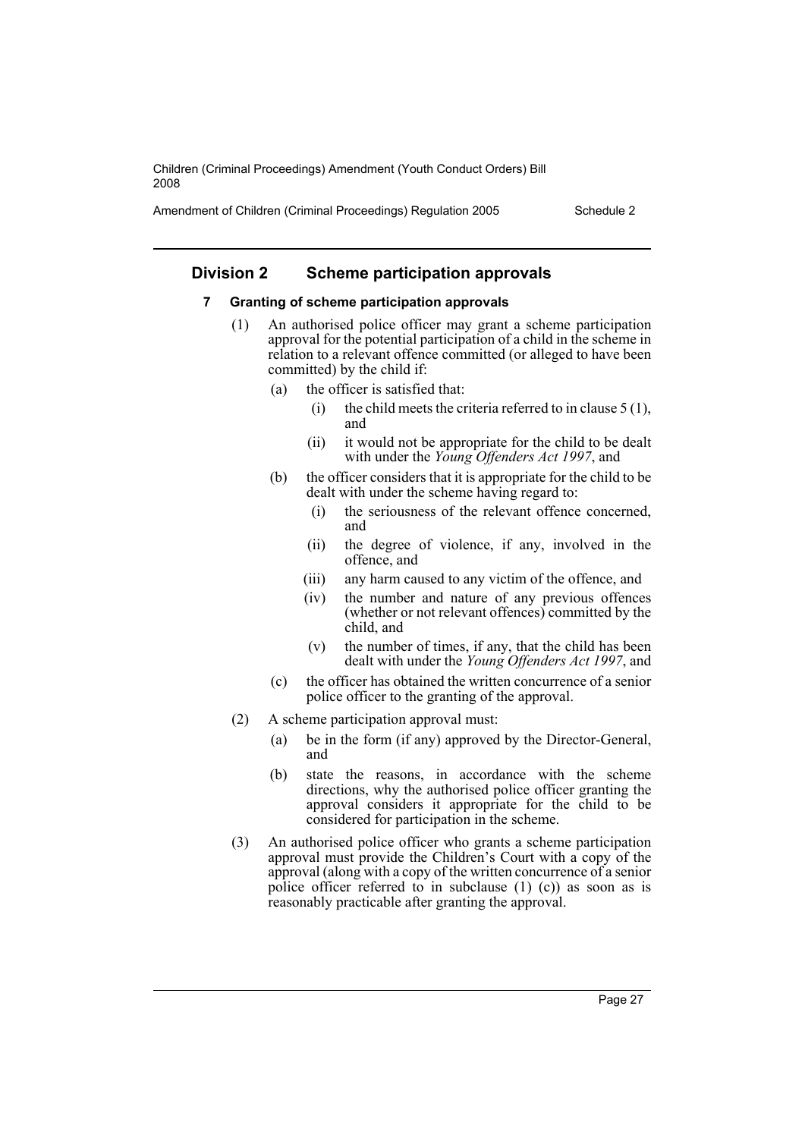Amendment of Children (Criminal Proceedings) Regulation 2005 Schedule 2

# **Division 2 Scheme participation approvals**

#### **7 Granting of scheme participation approvals**

- (1) An authorised police officer may grant a scheme participation approval for the potential participation of a child in the scheme in relation to a relevant offence committed (or alleged to have been committed) by the child if:
	- (a) the officer is satisfied that:
		- (i) the child meets the criteria referred to in clause  $5(1)$ , and
		- (ii) it would not be appropriate for the child to be dealt with under the *Young Offenders Act 1997*, and
	- (b) the officer considers that it is appropriate for the child to be dealt with under the scheme having regard to:
		- (i) the seriousness of the relevant offence concerned, and
		- (ii) the degree of violence, if any, involved in the offence, and
		- (iii) any harm caused to any victim of the offence, and
		- (iv) the number and nature of any previous offences (whether or not relevant offences) committed by the child, and
		- (v) the number of times, if any, that the child has been dealt with under the *Young Offenders Act 1997*, and
	- (c) the officer has obtained the written concurrence of a senior police officer to the granting of the approval.
- (2) A scheme participation approval must:
	- (a) be in the form (if any) approved by the Director-General, and
	- (b) state the reasons, in accordance with the scheme directions, why the authorised police officer granting the approval considers it appropriate for the child to be considered for participation in the scheme.
- (3) An authorised police officer who grants a scheme participation approval must provide the Children's Court with a copy of the approval (along with a copy of the written concurrence of a senior police officer referred to in subclause  $(1)$   $(c)$ ) as soon as is reasonably practicable after granting the approval.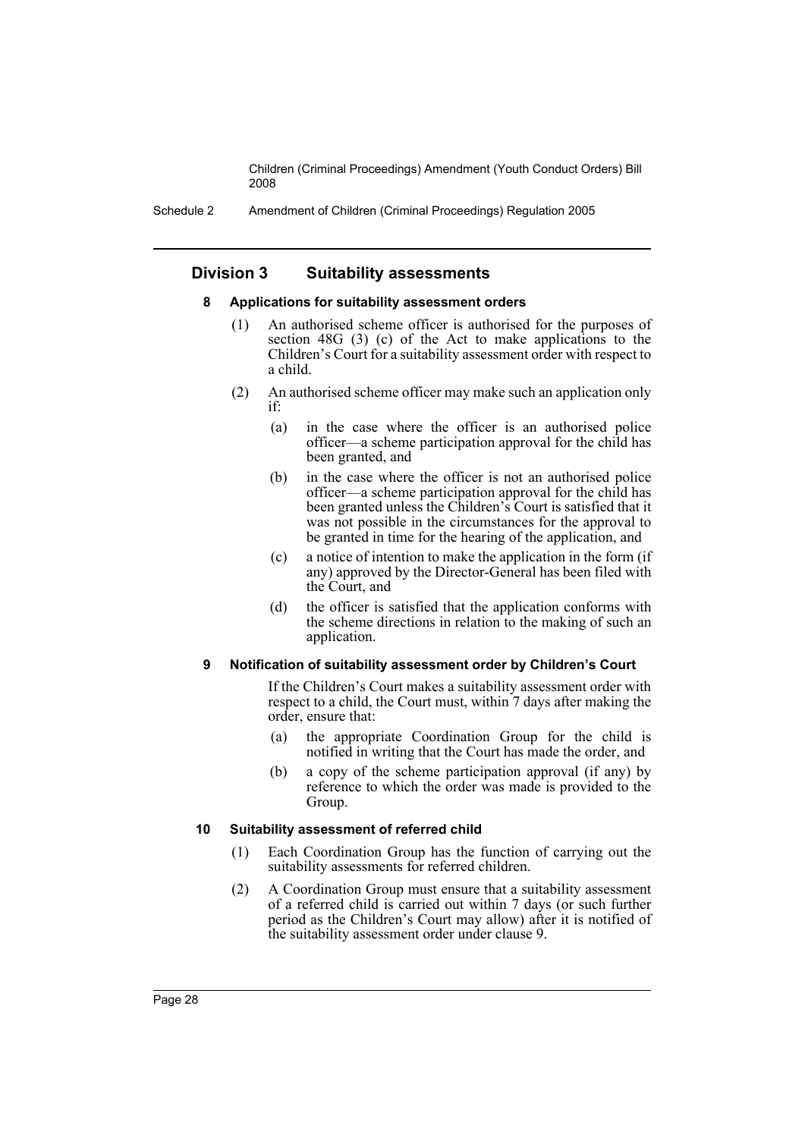Schedule 2 Amendment of Children (Criminal Proceedings) Regulation 2005

# **Division 3 Suitability assessments**

#### **8 Applications for suitability assessment orders**

- (1) An authorised scheme officer is authorised for the purposes of section 48G (3) (c) of the Act to make applications to the Children's Court for a suitability assessment order with respect to a child.
- (2) An authorised scheme officer may make such an application only if:
	- (a) in the case where the officer is an authorised police officer—a scheme participation approval for the child has been granted, and
	- (b) in the case where the officer is not an authorised police officer—a scheme participation approval for the child has been granted unless the Children's Court is satisfied that it was not possible in the circumstances for the approval to be granted in time for the hearing of the application, and
	- (c) a notice of intention to make the application in the form (if any) approved by the Director-General has been filed with the Court, and
	- (d) the officer is satisfied that the application conforms with the scheme directions in relation to the making of such an application.

#### **9 Notification of suitability assessment order by Children's Court**

If the Children's Court makes a suitability assessment order with respect to a child, the Court must, within 7 days after making the order, ensure that:

- (a) the appropriate Coordination Group for the child is notified in writing that the Court has made the order, and
- (b) a copy of the scheme participation approval (if any) by reference to which the order was made is provided to the Group.

# **10 Suitability assessment of referred child**

- (1) Each Coordination Group has the function of carrying out the suitability assessments for referred children.
- (2) A Coordination Group must ensure that a suitability assessment of a referred child is carried out within 7 days (or such further period as the Children's Court may allow) after it is notified of the suitability assessment order under clause 9.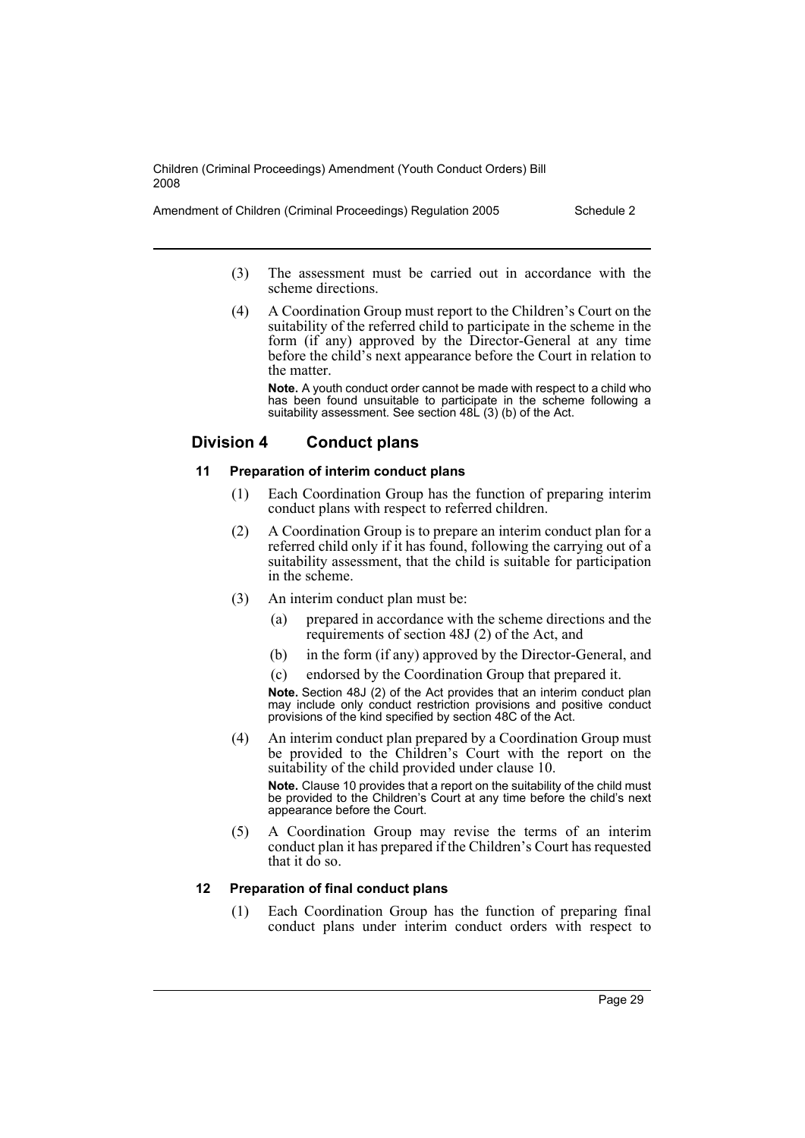Amendment of Children (Criminal Proceedings) Regulation 2005 Schedule 2

- (3) The assessment must be carried out in accordance with the scheme directions.
- (4) A Coordination Group must report to the Children's Court on the suitability of the referred child to participate in the scheme in the form (if any) approved by the Director-General at any time before the child's next appearance before the Court in relation to the matter.

**Note.** A youth conduct order cannot be made with respect to a child who has been found unsuitable to participate in the scheme following a suitability assessment. See section 48L (3) (b) of the Act.

# **Division 4 Conduct plans**

## **11 Preparation of interim conduct plans**

- (1) Each Coordination Group has the function of preparing interim conduct plans with respect to referred children.
- (2) A Coordination Group is to prepare an interim conduct plan for a referred child only if it has found, following the carrying out of a suitability assessment, that the child is suitable for participation in the scheme.
- (3) An interim conduct plan must be:
	- (a) prepared in accordance with the scheme directions and the requirements of section 48J (2) of the Act, and
	- (b) in the form (if any) approved by the Director-General, and
	- (c) endorsed by the Coordination Group that prepared it.

**Note.** Section 48J (2) of the Act provides that an interim conduct plan may include only conduct restriction provisions and positive conduct provisions of the kind specified by section 48C of the Act.

(4) An interim conduct plan prepared by a Coordination Group must be provided to the Children's Court with the report on the suitability of the child provided under clause 10.

**Note.** Clause 10 provides that a report on the suitability of the child must be provided to the Children's Court at any time before the child's next appearance before the Court.

(5) A Coordination Group may revise the terms of an interim conduct plan it has prepared if the Children's Court has requested that it do so.

# **12 Preparation of final conduct plans**

(1) Each Coordination Group has the function of preparing final conduct plans under interim conduct orders with respect to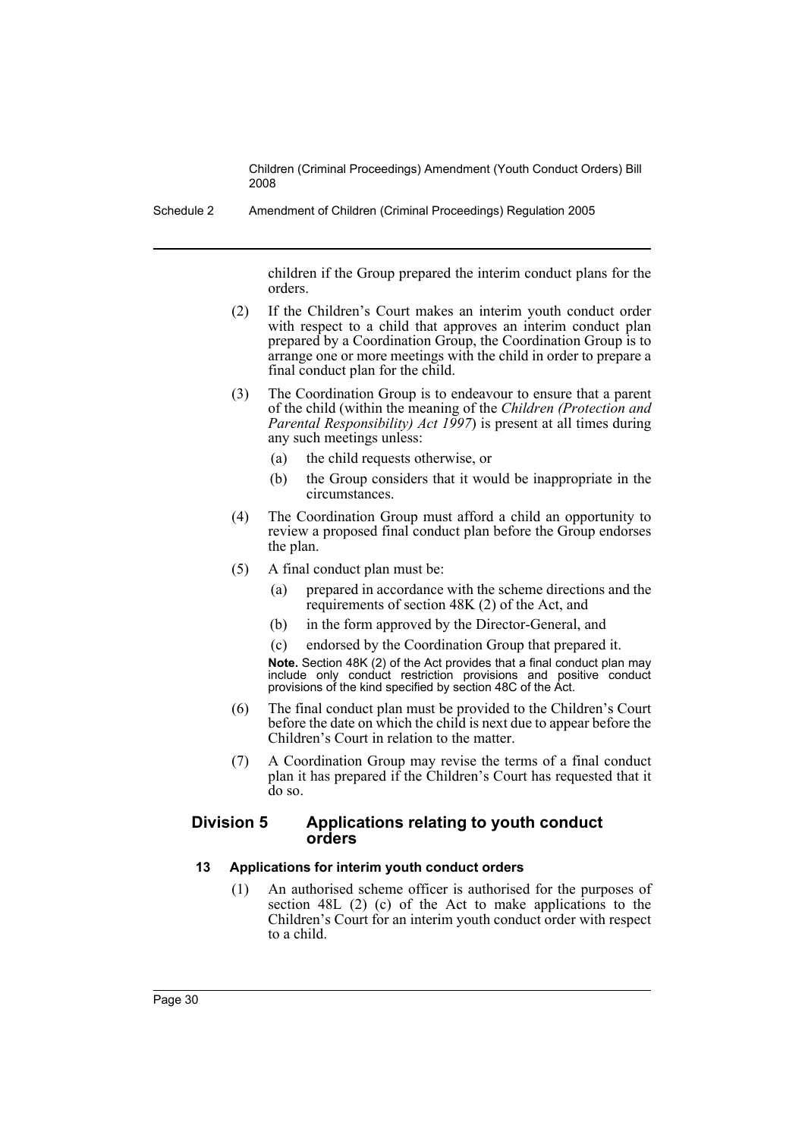Schedule 2 Amendment of Children (Criminal Proceedings) Regulation 2005

children if the Group prepared the interim conduct plans for the orders.

- (2) If the Children's Court makes an interim youth conduct order with respect to a child that approves an interim conduct plan prepared by a Coordination Group, the Coordination Group is to arrange one or more meetings with the child in order to prepare a final conduct plan for the child.
- (3) The Coordination Group is to endeavour to ensure that a parent of the child (within the meaning of the *Children (Protection and Parental Responsibility) Act 1997*) is present at all times during any such meetings unless:
	- (a) the child requests otherwise, or
	- (b) the Group considers that it would be inappropriate in the circumstances.
- (4) The Coordination Group must afford a child an opportunity to review a proposed final conduct plan before the Group endorses the plan.
- (5) A final conduct plan must be:
	- (a) prepared in accordance with the scheme directions and the requirements of section 48K (2) of the Act, and
	- (b) in the form approved by the Director-General, and
	- (c) endorsed by the Coordination Group that prepared it.

**Note.** Section 48K (2) of the Act provides that a final conduct plan may include only conduct restriction provisions and positive conduct provisions of the kind specified by section 48C of the Act.

- (6) The final conduct plan must be provided to the Children's Court before the date on which the child is next due to appear before the Children's Court in relation to the matter.
- (7) A Coordination Group may revise the terms of a final conduct plan it has prepared if the Children's Court has requested that it do so.

# **Division 5 Applications relating to youth conduct orders**

# **13 Applications for interim youth conduct orders**

(1) An authorised scheme officer is authorised for the purposes of section 48L (2) (c) of the Act to make applications to the Children's Court for an interim youth conduct order with respect to a child.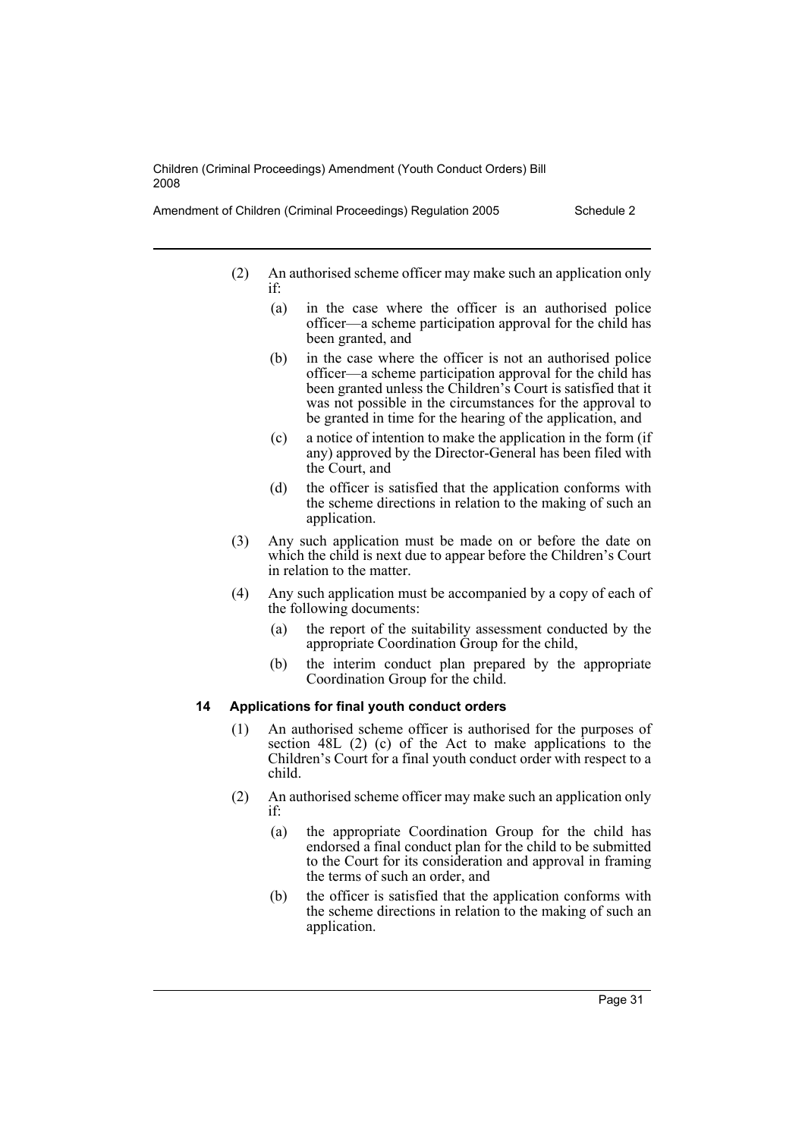- (2) An authorised scheme officer may make such an application only if:
	- (a) in the case where the officer is an authorised police officer—a scheme participation approval for the child has been granted, and
	- (b) in the case where the officer is not an authorised police officer—a scheme participation approval for the child has been granted unless the Children's Court is satisfied that it was not possible in the circumstances for the approval to be granted in time for the hearing of the application, and
	- (c) a notice of intention to make the application in the form (if any) approved by the Director-General has been filed with the Court, and
	- (d) the officer is satisfied that the application conforms with the scheme directions in relation to the making of such an application.
- (3) Any such application must be made on or before the date on which the child is next due to appear before the Children's Court in relation to the matter.
- (4) Any such application must be accompanied by a copy of each of the following documents:
	- (a) the report of the suitability assessment conducted by the appropriate Coordination Group for the child,
	- (b) the interim conduct plan prepared by the appropriate Coordination Group for the child.

#### **14 Applications for final youth conduct orders**

- (1) An authorised scheme officer is authorised for the purposes of section 48L (2) (c) of the Act to make applications to the Children's Court for a final youth conduct order with respect to a child.
- (2) An authorised scheme officer may make such an application only if:
	- (a) the appropriate Coordination Group for the child has endorsed a final conduct plan for the child to be submitted to the Court for its consideration and approval in framing the terms of such an order, and
	- (b) the officer is satisfied that the application conforms with the scheme directions in relation to the making of such an application.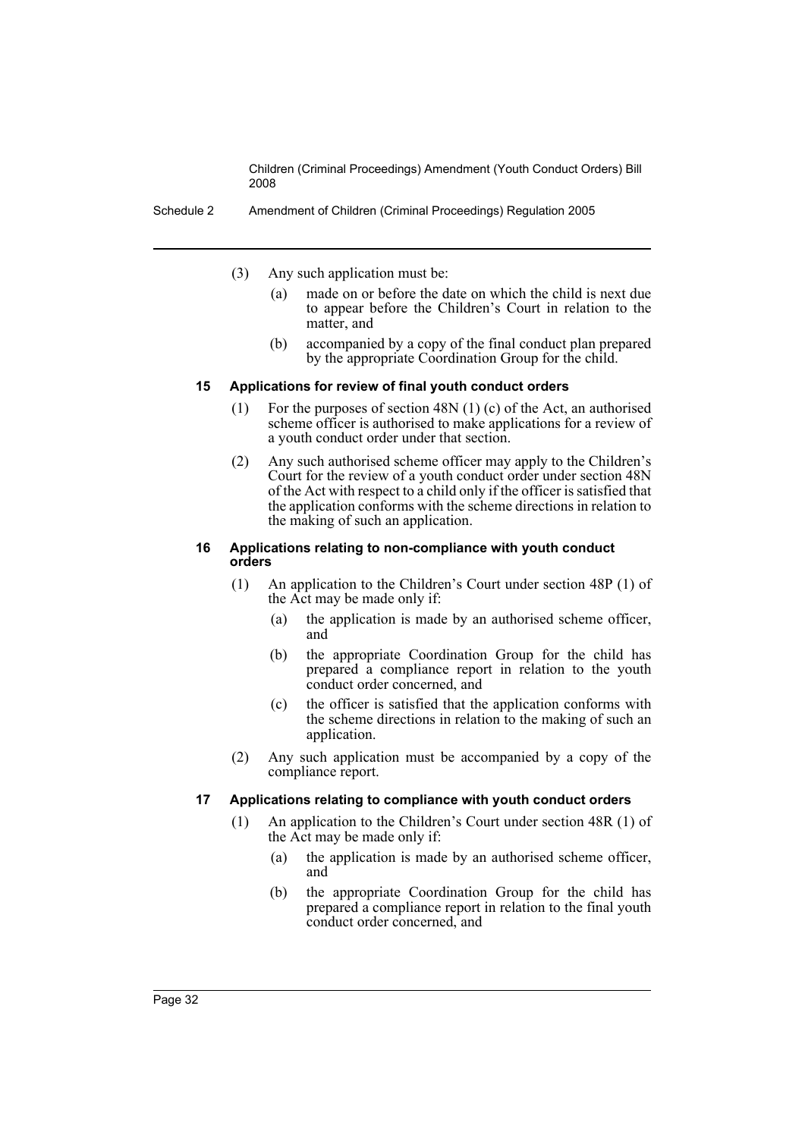Schedule 2 Amendment of Children (Criminal Proceedings) Regulation 2005

- (3) Any such application must be:
	- (a) made on or before the date on which the child is next due to appear before the Children's Court in relation to the matter, and
	- (b) accompanied by a copy of the final conduct plan prepared by the appropriate Coordination Group for the child.

## **15 Applications for review of final youth conduct orders**

- (1) For the purposes of section 48N (1) (c) of the Act, an authorised scheme officer is authorised to make applications for a review of a youth conduct order under that section.
- (2) Any such authorised scheme officer may apply to the Children's Court for the review of a youth conduct order under section 48N of the Act with respect to a child only if the officer is satisfied that the application conforms with the scheme directions in relation to the making of such an application.

#### **16 Applications relating to non-compliance with youth conduct orders**

- (1) An application to the Children's Court under section 48P (1) of the Act may be made only if:
	- (a) the application is made by an authorised scheme officer, and
	- (b) the appropriate Coordination Group for the child has prepared a compliance report in relation to the youth conduct order concerned, and
	- (c) the officer is satisfied that the application conforms with the scheme directions in relation to the making of such an application.
- (2) Any such application must be accompanied by a copy of the compliance report.

# **17 Applications relating to compliance with youth conduct orders**

- (1) An application to the Children's Court under section 48R (1) of the Act may be made only if:
	- (a) the application is made by an authorised scheme officer, and
	- (b) the appropriate Coordination Group for the child has prepared a compliance report in relation to the final youth conduct order concerned, and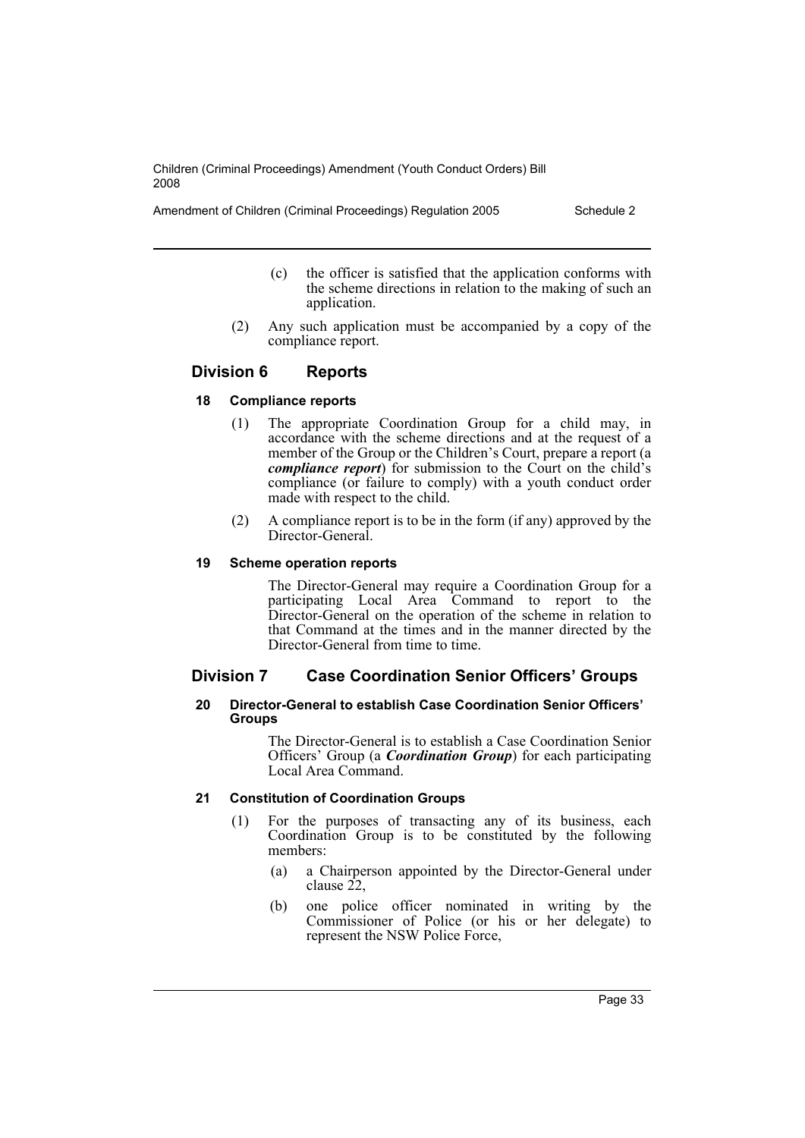Amendment of Children (Criminal Proceedings) Regulation 2005 Schedule 2

- (c) the officer is satisfied that the application conforms with the scheme directions in relation to the making of such an application.
- (2) Any such application must be accompanied by a copy of the compliance report.

# **Division 6 Reports**

## **18 Compliance reports**

- (1) The appropriate Coordination Group for a child may, in accordance with the scheme directions and at the request of a member of the Group or the Children's Court, prepare a report (a *compliance report*) for submission to the Court on the child's compliance (or failure to comply) with a youth conduct order made with respect to the child.
- (2) A compliance report is to be in the form (if any) approved by the Director-General.

## **19 Scheme operation reports**

The Director-General may require a Coordination Group for a participating Local Area Command to report to the Director-General on the operation of the scheme in relation to that Command at the times and in the manner directed by the Director-General from time to time.

# **Division 7 Case Coordination Senior Officers' Groups**

#### **20 Director-General to establish Case Coordination Senior Officers' Groups**

The Director-General is to establish a Case Coordination Senior Officers' Group (a *Coordination Group*) for each participating Local Area Command.

#### **21 Constitution of Coordination Groups**

- (1) For the purposes of transacting any of its business, each Coordination Group is to be constituted by the following members:
	- (a) a Chairperson appointed by the Director-General under clause  $22$ ,
	- (b) one police officer nominated in writing by the Commissioner of Police (or his or her delegate) to represent the NSW Police Force,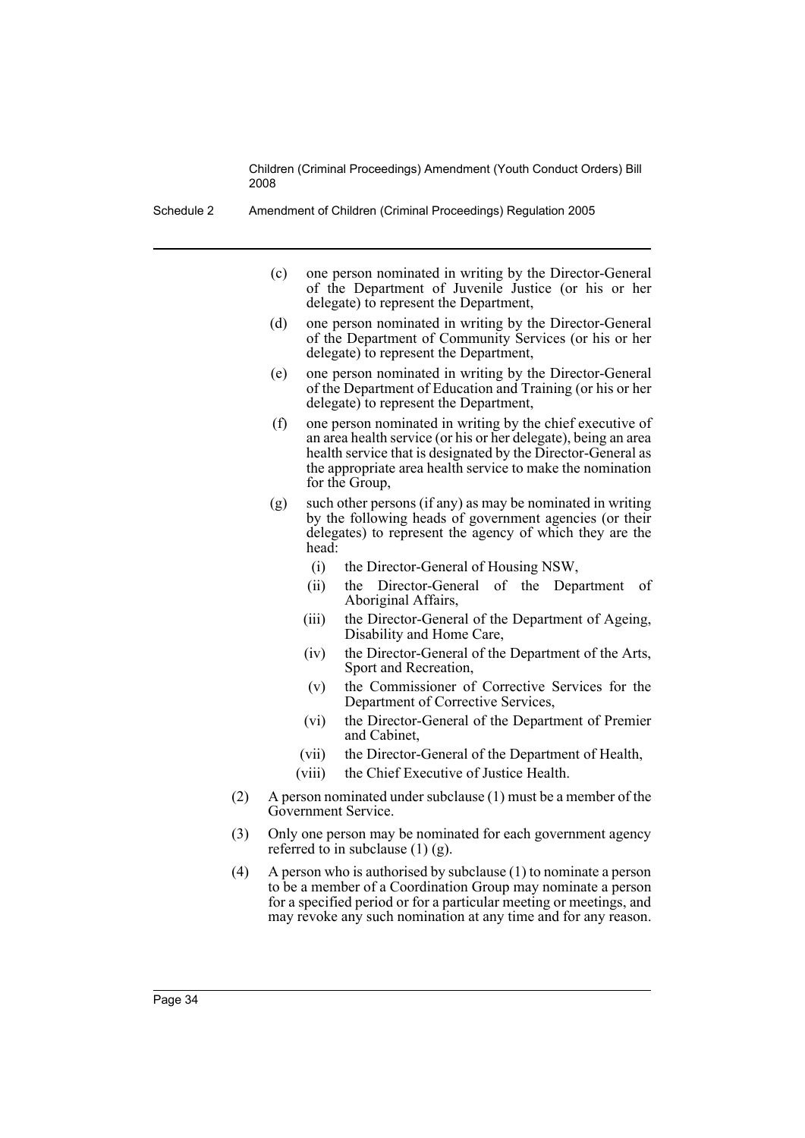Schedule 2 Amendment of Children (Criminal Proceedings) Regulation 2005

- (c) one person nominated in writing by the Director-General of the Department of Juvenile Justice (or his or her delegate) to represent the Department,
- (d) one person nominated in writing by the Director-General of the Department of Community Services (or his or her delegate) to represent the Department,
- (e) one person nominated in writing by the Director-General of the Department of Education and Training (or his or her delegate) to represent the Department,
- (f) one person nominated in writing by the chief executive of an area health service (or his or her delegate), being an area health service that is designated by the Director-General as the appropriate area health service to make the nomination for the Group,
- (g) such other persons (if any) as may be nominated in writing by the following heads of government agencies (or their delegates) to represent the agency of which they are the head:
	- (i) the Director-General of Housing NSW,
	- (ii) the Director-General of the Department of Aboriginal Affairs,
	- (iii) the Director-General of the Department of Ageing, Disability and Home Care,
	- (iv) the Director-General of the Department of the Arts, Sport and Recreation,
	- (v) the Commissioner of Corrective Services for the Department of Corrective Services,
	- (vi) the Director-General of the Department of Premier and Cabinet,
	- (vii) the Director-General of the Department of Health,
	- (viii) the Chief Executive of Justice Health.
- (2) A person nominated under subclause (1) must be a member of the Government Service.
- (3) Only one person may be nominated for each government agency referred to in subclause  $(1)$   $(g)$ .
- (4) A person who is authorised by subclause (1) to nominate a person to be a member of a Coordination Group may nominate a person for a specified period or for a particular meeting or meetings, and may revoke any such nomination at any time and for any reason.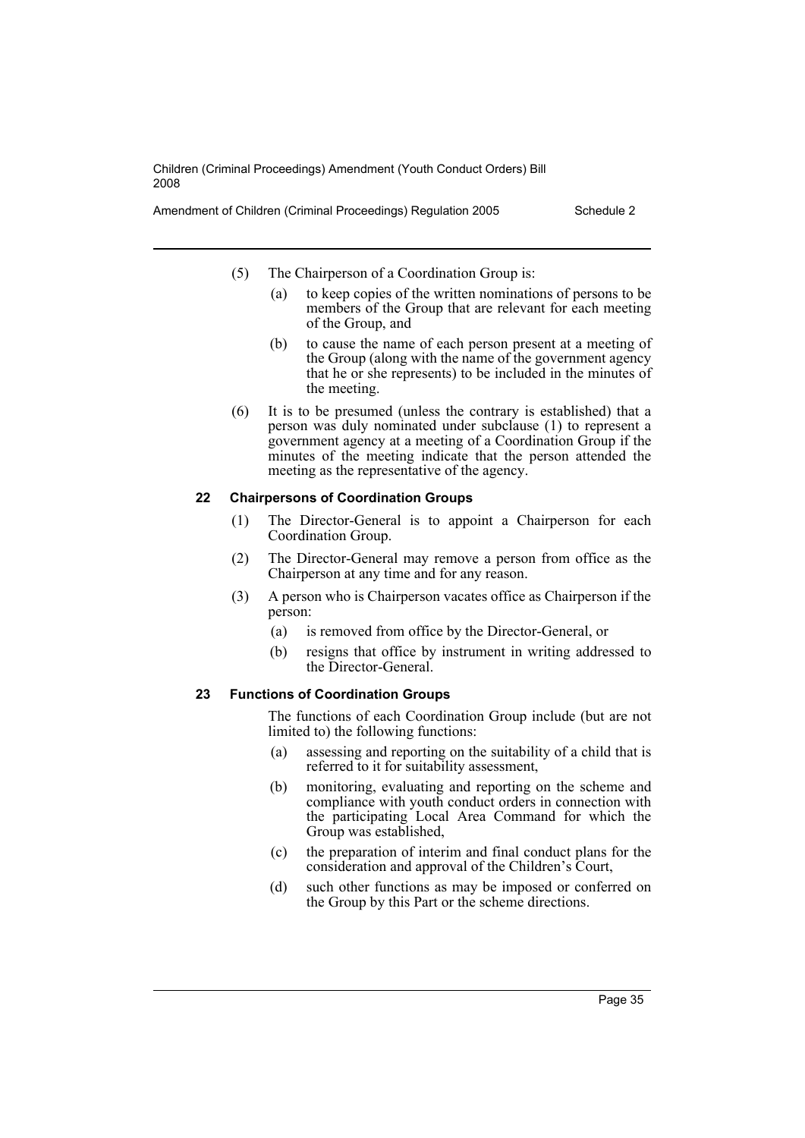Amendment of Children (Criminal Proceedings) Regulation 2005 Schedule 2

- (5) The Chairperson of a Coordination Group is:
	- (a) to keep copies of the written nominations of persons to be members of the Group that are relevant for each meeting of the Group, and
	- (b) to cause the name of each person present at a meeting of the Group (along with the name of the government agency that he or she represents) to be included in the minutes of the meeting.
- (6) It is to be presumed (unless the contrary is established) that a person was duly nominated under subclause (1) to represent a government agency at a meeting of a Coordination Group if the minutes of the meeting indicate that the person attended the meeting as the representative of the agency.

#### **22 Chairpersons of Coordination Groups**

- (1) The Director-General is to appoint a Chairperson for each Coordination Group.
- (2) The Director-General may remove a person from office as the Chairperson at any time and for any reason.
- (3) A person who is Chairperson vacates office as Chairperson if the person:
	- (a) is removed from office by the Director-General, or
	- (b) resigns that office by instrument in writing addressed to the Director-General.

#### **23 Functions of Coordination Groups**

The functions of each Coordination Group include (but are not limited to) the following functions:

- (a) assessing and reporting on the suitability of a child that is referred to it for suitability assessment,
- (b) monitoring, evaluating and reporting on the scheme and compliance with youth conduct orders in connection with the participating Local Area Command for which the Group was established,
- (c) the preparation of interim and final conduct plans for the consideration and approval of the Children's Court,
- (d) such other functions as may be imposed or conferred on the Group by this Part or the scheme directions.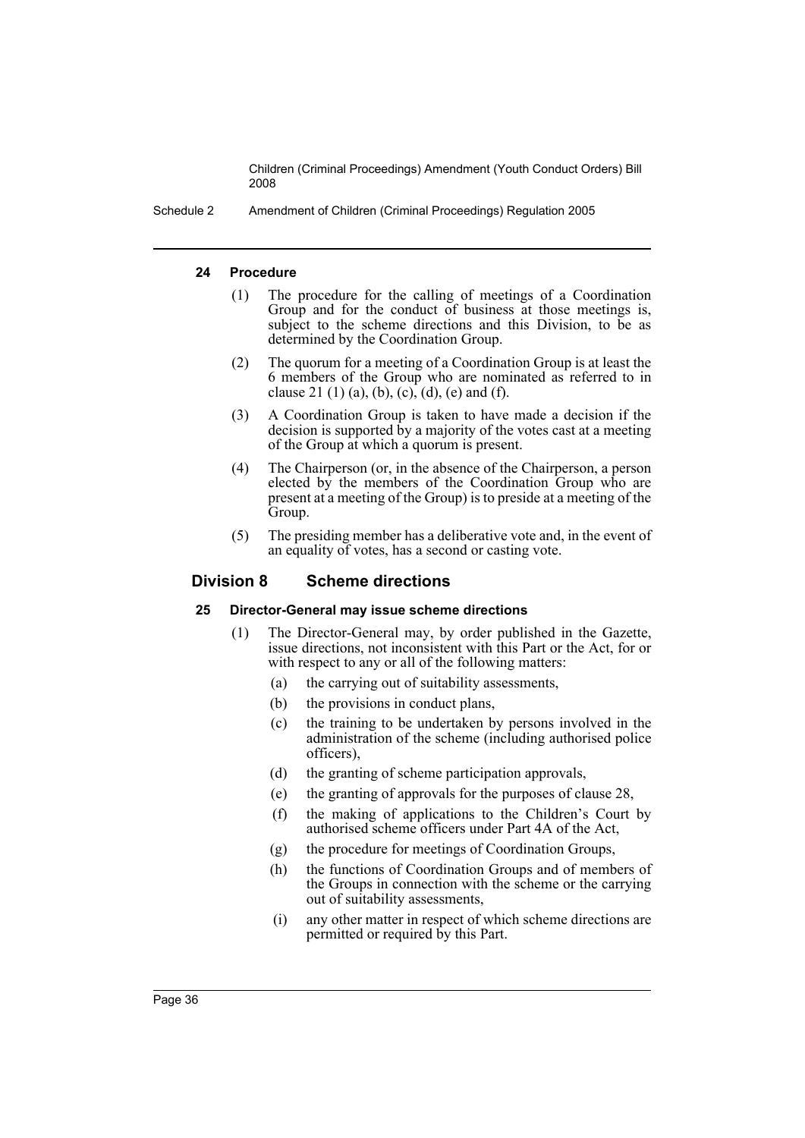Schedule 2 Amendment of Children (Criminal Proceedings) Regulation 2005

## **24 Procedure**

- (1) The procedure for the calling of meetings of a Coordination Group and for the conduct of business at those meetings is, subject to the scheme directions and this Division, to be as determined by the Coordination Group.
- (2) The quorum for a meeting of a Coordination Group is at least the 6 members of the Group who are nominated as referred to in clause 21 (1) (a), (b), (c), (d), (e) and (f).
- (3) A Coordination Group is taken to have made a decision if the decision is supported by a majority of the votes cast at a meeting of the Group at which a quorum is present.
- (4) The Chairperson (or, in the absence of the Chairperson, a person elected by the members of the Coordination Group who are present at a meeting of the Group) is to preside at a meeting of the Group.
- (5) The presiding member has a deliberative vote and, in the event of an equality of votes, has a second or casting vote.

# **Division 8 Scheme directions**

# **25 Director-General may issue scheme directions**

- (1) The Director-General may, by order published in the Gazette, issue directions, not inconsistent with this Part or the Act, for or with respect to any or all of the following matters:
	- (a) the carrying out of suitability assessments,
	- (b) the provisions in conduct plans,
	- (c) the training to be undertaken by persons involved in the administration of the scheme (including authorised police officers),
	- (d) the granting of scheme participation approvals,
	- (e) the granting of approvals for the purposes of clause 28,
	- (f) the making of applications to the Children's Court by authorised scheme officers under Part 4A of the Act,
	- (g) the procedure for meetings of Coordination Groups,
	- (h) the functions of Coordination Groups and of members of the Groups in connection with the scheme or the carrying out of suitability assessments,
	- (i) any other matter in respect of which scheme directions are permitted or required by this Part.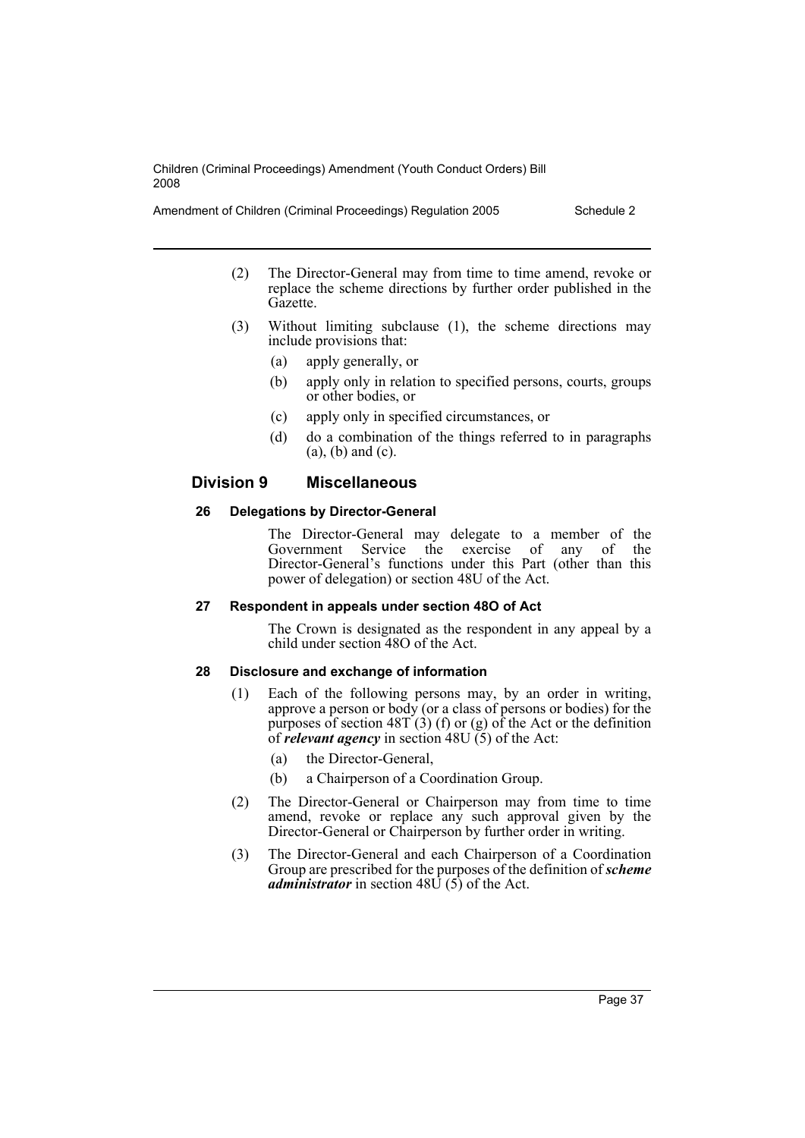- (2) The Director-General may from time to time amend, revoke or replace the scheme directions by further order published in the Gazette.
- (3) Without limiting subclause (1), the scheme directions may include provisions that:
	- (a) apply generally, or
	- (b) apply only in relation to specified persons, courts, groups or other bodies, or
	- (c) apply only in specified circumstances, or
	- (d) do a combination of the things referred to in paragraphs (a), (b) and (c).

# **Division 9 Miscellaneous**

#### **26 Delegations by Director-General**

The Director-General may delegate to a member of the Government Service the exercise of any of the Director-General's functions under this Part (other than this power of delegation) or section 48U of the Act.

#### **27 Respondent in appeals under section 48O of Act**

The Crown is designated as the respondent in any appeal by a child under section 48O of the Act.

#### **28 Disclosure and exchange of information**

- (1) Each of the following persons may, by an order in writing, approve a person or body (or a class of persons or bodies) for the purposes of section  $48T(3)$  (f) or (g) of the Act or the definition of *relevant agency* in section  $48U(5)$  of the Act:
	- (a) the Director-General,
	- (b) a Chairperson of a Coordination Group.
- (2) The Director-General or Chairperson may from time to time amend, revoke or replace any such approval given by the Director-General or Chairperson by further order in writing.
- (3) The Director-General and each Chairperson of a Coordination Group are prescribed for the purposes of the definition of *scheme administrator* in section 48U (5) of the Act.